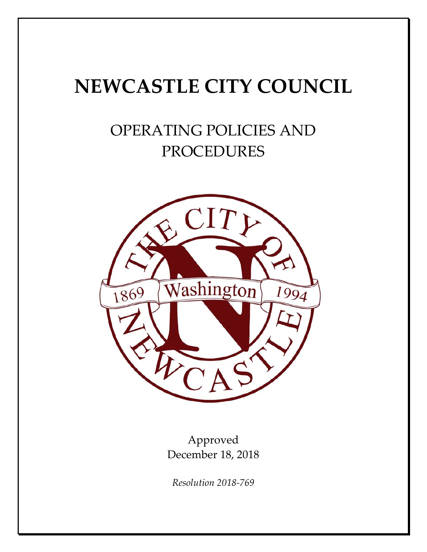# **NEWCASTLE CITY COUNCIL**

# OPERATING POLICIES AND PROCEDURES



Approved December 18, 2018

*Resolution 2018‐769*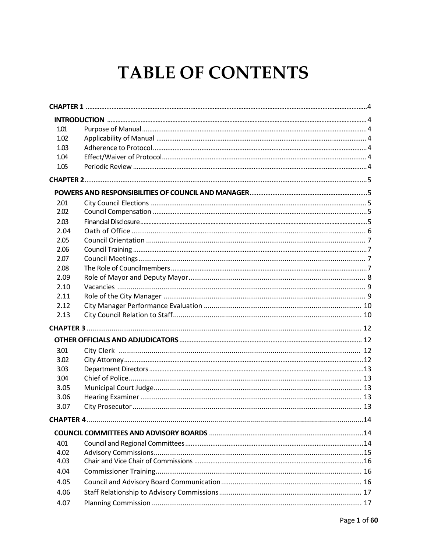# **TABLE OF CONTENTS**

| 1.01 |  |  |
|------|--|--|
| 1.02 |  |  |
| 1.03 |  |  |
| 1.04 |  |  |
| 1.05 |  |  |
|      |  |  |
|      |  |  |
| 2.01 |  |  |
| 2.02 |  |  |
| 2.03 |  |  |
| 2.04 |  |  |
| 2.05 |  |  |
| 2.06 |  |  |
| 2.07 |  |  |
| 2.08 |  |  |
| 2.09 |  |  |
| 2.10 |  |  |
| 2.11 |  |  |
| 2.12 |  |  |
| 2.13 |  |  |
|      |  |  |
|      |  |  |
| 3.01 |  |  |
| 3.02 |  |  |
| 3.03 |  |  |
| 3.04 |  |  |
| 3.05 |  |  |
| 3.06 |  |  |
| 3.07 |  |  |
|      |  |  |
|      |  |  |
| 4.01 |  |  |
| 4.02 |  |  |
| 4.03 |  |  |
| 4.04 |  |  |
| 4.05 |  |  |
| 4.06 |  |  |
| 4.07 |  |  |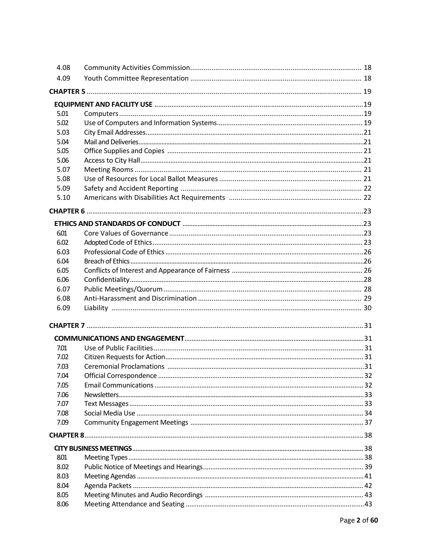| 4.08 |  |
|------|--|
| 4.09 |  |
|      |  |
|      |  |
| 5.01 |  |
| 5.02 |  |
|      |  |
| 5.03 |  |
| 5.04 |  |
| 5.05 |  |
| 5.06 |  |
| 5.07 |  |
| 5.08 |  |
| 5.09 |  |
| 5.10 |  |
|      |  |
|      |  |
| 6.01 |  |
| 6.02 |  |
| 6.03 |  |
| 6.04 |  |
| 6.05 |  |
| 6.06 |  |
|      |  |
| 6.07 |  |
| 6.08 |  |
| 6.09 |  |
|      |  |
|      |  |
| 7.01 |  |
| 7.02 |  |
| 7.03 |  |
| 7.04 |  |
| 7.05 |  |
| 7.06 |  |
| 7.07 |  |
| 7.08 |  |
| 7.09 |  |
|      |  |
|      |  |
|      |  |
| 8.01 |  |
| 8.02 |  |
| 8.03 |  |
| 8.04 |  |
| 8.05 |  |
| 8.06 |  |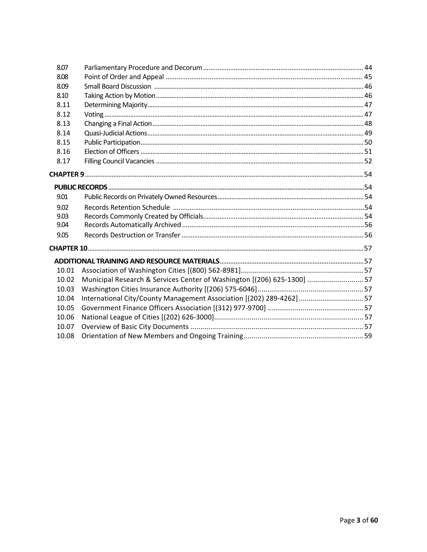| 8.07  |                                                                         |  |
|-------|-------------------------------------------------------------------------|--|
| 8.08  |                                                                         |  |
| 8.09  |                                                                         |  |
| 8.10  |                                                                         |  |
| 8.11  |                                                                         |  |
| 8.12  |                                                                         |  |
| 8.13  |                                                                         |  |
| 8.14  |                                                                         |  |
| 8.15  |                                                                         |  |
| 8.16  |                                                                         |  |
| 8.17  |                                                                         |  |
|       |                                                                         |  |
|       |                                                                         |  |
| 9.01  |                                                                         |  |
| 9.02  |                                                                         |  |
| 9.03  |                                                                         |  |
| 9.04  |                                                                         |  |
| 9.05  |                                                                         |  |
|       |                                                                         |  |
|       |                                                                         |  |
| 10.01 |                                                                         |  |
| 10.02 | Municipal Research & Services Center of Washington [(206) 625-1300]  57 |  |
| 10.03 |                                                                         |  |
| 10.04 | International City/County Management Association [(202) 289-4262] 57    |  |
| 10.05 |                                                                         |  |
| 10.06 |                                                                         |  |
| 10.07 |                                                                         |  |
| 10.08 |                                                                         |  |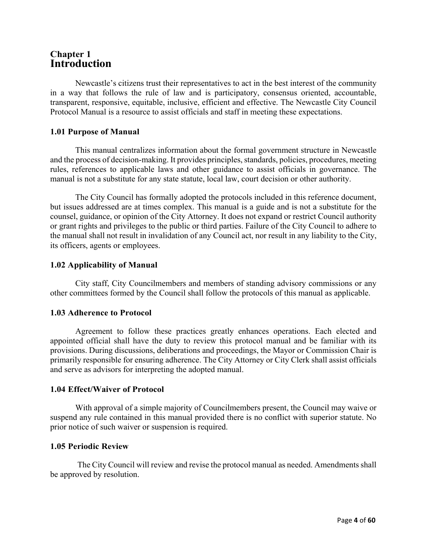# **Chapter 1 Introduction**

Newcastle's citizens trust their representatives to act in the best interest of the community in a way that follows the rule of law and is participatory, consensus oriented, accountable, transparent, responsive, equitable, inclusive, efficient and effective. The Newcastle City Council Protocol Manual is a resource to assist officials and staff in meeting these expectations.

### **1.01 Purpose of Manual**

This manual centralizes information about the formal government structure in Newcastle and the process of decision-making. It provides principles, standards, policies, procedures, meeting rules, references to applicable laws and other guidance to assist officials in governance. The manual is not a substitute for any state statute, local law, court decision or other authority.

The City Council has formally adopted the protocols included in this reference document, but issues addressed are at times complex. This manual is a guide and is not a substitute for the counsel, guidance, or opinion of the City Attorney. It does not expand or restrict Council authority or grant rights and privileges to the public or third parties. Failure of the City Council to adhere to the manual shall not result in invalidation of any Council act, nor result in any liability to the City, its officers, agents or employees.

# **1.02 Applicability of Manual**

City staff, City Councilmembers and members of standing advisory commissions or any other committees formed by the Council shall follow the protocols of this manual as applicable.

#### **1.03 Adherence to Protocol**

Agreement to follow these practices greatly enhances operations. Each elected and appointed official shall have the duty to review this protocol manual and be familiar with its provisions. During discussions, deliberations and proceedings, the Mayor or Commission Chair is primarily responsible for ensuring adherence. The City Attorney or City Clerk shall assist officials and serve as advisors for interpreting the adopted manual.

#### **1.04 Effect/Waiver of Protocol**

With approval of a simple majority of Councilmembers present, the Council may waive or suspend any rule contained in this manual provided there is no conflict with superior statute. No prior notice of such waiver or suspension is required.

#### **1.05 Periodic Review**

The City Council will review and revise the protocol manual as needed. Amendments shall be approved by resolution.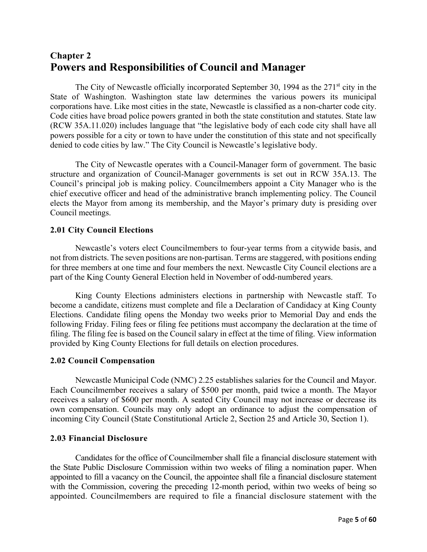# **Chapter 2 Powers and Responsibilities of Council and Manager**

The City of Newcastle officially incorporated September 30, 1994 as the  $271<sup>st</sup>$  city in the State of Washington. Washington state law determines the various powers its municipal corporations have. Like most cities in the state, Newcastle is classified as a non-charter code city. Code cities have broad police powers granted in both the state constitution and statutes. State law (RCW 35A.11.020) includes language that "the legislative body of each code city shall have all powers possible for a city or town to have under the constitution of this state and not specifically denied to code cities by law." The City Council is Newcastle's legislative body.

The City of Newcastle operates with a Council-Manager form of government. The basic structure and organization of Council-Manager governments is set out in RCW 35A.13. The Council's principal job is making policy. Councilmembers appoint a City Manager who is the chief executive officer and head of the administrative branch implementing policy. The Council elects the Mayor from among its membership, and the Mayor's primary duty is presiding over Council meetings.

# **2.01 City Council Elections**

Newcastle's voters elect Councilmembers to four-year terms from a citywide basis, and not from districts. The seven positions are non-partisan. Terms are staggered, with positions ending for three members at one time and four members the next. Newcastle City Council elections are a part of the King County General Election held in November of odd-numbered years.

King County Elections administers elections in partnership with Newcastle staff. To become a candidate, citizens must complete and file a Declaration of Candidacy at King County Elections. Candidate filing opens the Monday two weeks prior to Memorial Day and ends the following Friday. Filing fees or filing fee petitions must accompany the declaration at the time of filing. The filing fee is based on the Council salary in effect at the time of filing. View information provided by King County Elections for full details on election procedures.

#### **2.02 Council Compensation**

Newcastle Municipal Code (NMC) 2.25 establishes salaries for the Council and Mayor. Each Councilmember receives a salary of \$500 per month, paid twice a month. The Mayor receives a salary of \$600 per month. A seated City Council may not increase or decrease its own compensation. Councils may only adopt an ordinance to adjust the compensation of incoming City Council (State Constitutional Article 2, Section 25 and Article 30, Section 1).

#### **2.03 Financial Disclosure**

Candidates for the office of Councilmember shall file a financial disclosure statement with the State Public Disclosure Commission within two weeks of filing a nomination paper. When appointed to fill a vacancy on the Council, the appointee shall file a financial disclosure statement with the Commission, covering the preceding 12-month period, within two weeks of being so appointed. Councilmembers are required to file a financial disclosure statement with the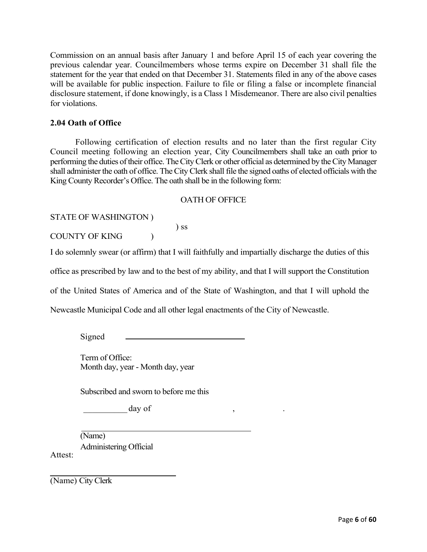Commission on an annual basis after January 1 and before April 15 of each year covering the previous calendar year. Councilmembers whose terms expire on December 31 shall file the statement for the year that ended on that December 31. Statements filed in any of the above cases will be available for public inspection. Failure to file or filing a false or incomplete financial disclosure statement, if done knowingly, is a Class 1 Misdemeanor. There are also civil penalties for violations.

# **2.04 Oath of Office**

Following certification of election results and no later than the first regular City Council meeting following an election year, City Councilmembers shall take an oath prior to performing the duties of their office. The City Clerk or other official as determined by the City Manager shall administer the oath of office. The City Clerk shall file the signed oaths of elected officials with the King County Recorder's Office. The oath shall be in the following form:

#### OATH OF OFFICE

STATE OF WASHINGTON )

COUNTY OF KING (

I do solemnly swear (or affirm) that I will faithfully and impartially discharge the duties of this

office as prescribed by law and to the best of my ability, and that I will support the Constitution

of the United States of America and of the State of Washington, and that I will uphold the

Newcastle Municipal Code and all other legal enactments of the City of Newcastle.

) ss

Signed

Term of Office: Month day, year - Month day, year

Subscribed and sworn to before me this

 $\Delta$  day of  $\Delta$ ,  $\Delta$ ,  $\Delta$ 

(Name) Administering Official

(Name) City Clerk

Attest: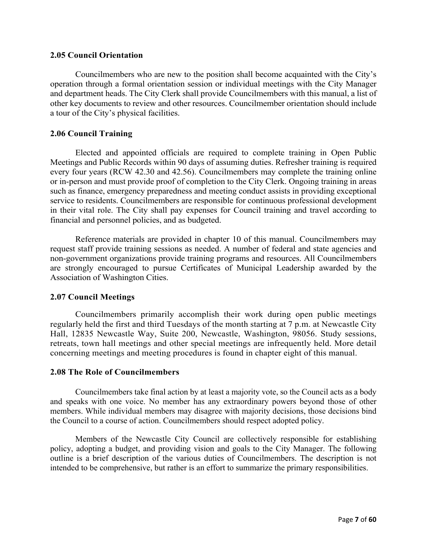#### **2.05 Council Orientation**

Councilmembers who are new to the position shall become acquainted with the City's operation through a formal orientation session or individual meetings with the City Manager and department heads. The City Clerk shall provide Councilmembers with this manual, a list of other key documents to review and other resources. Councilmember orientation should include a tour of the City's physical facilities.

#### **2.06 Council Training**

Elected and appointed officials are required to complete training in Open Public Meetings and Public Records within 90 days of assuming duties. Refresher training is required every four years (RCW 42.30 and 42.56). Councilmembers may complete the training online or in-person and must provide proof of completion to the City Clerk. Ongoing training in areas such as finance, emergency preparedness and meeting conduct assists in providing exceptional service to residents. Councilmembers are responsible for continuous professional development in their vital role. The City shall pay expenses for Council training and travel according to financial and personnel policies, and as budgeted.

Reference materials are provided in chapter 10 of this manual. Councilmembers may request staff provide training sessions as needed. A number of federal and state agencies and non-government organizations provide training programs and resources. All Councilmembers are strongly encouraged to pursue Certificates of Municipal Leadership awarded by the Association of Washington Cities.

#### **2.07 Council Meetings**

Councilmembers primarily accomplish their work during open public meetings regularly held the first and third Tuesdays of the month starting at 7 p.m. at Newcastle City Hall, 12835 Newcastle Way, Suite 200, Newcastle, Washington, 98056. Study sessions, retreats, town hall meetings and other special meetings are infrequently held. More detail concerning meetings and meeting procedures is found in chapter eight of this manual.

#### **2.08 The Role of Councilmembers**

Councilmembers take final action by at least a majority vote, so the Council acts as a body and speaks with one voice. No member has any extraordinary powers beyond those of other members. While individual members may disagree with majority decisions, those decisions bind the Council to a course of action. Councilmembers should respect adopted policy.

Members of the Newcastle City Council are collectively responsible for establishing policy, adopting a budget, and providing vision and goals to the City Manager. The following outline is a brief description of the various duties of Councilmembers. The description is not intended to be comprehensive, but rather is an effort to summarize the primary responsibilities.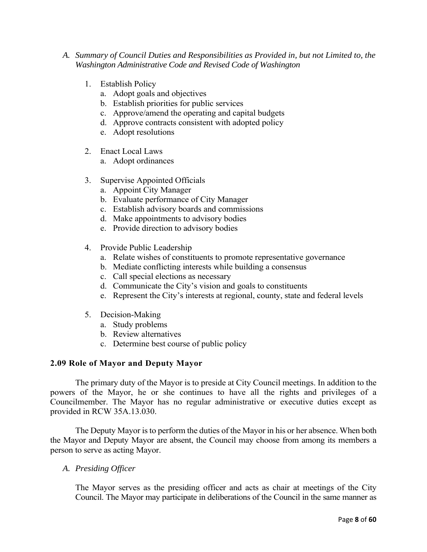- *A. Summary of Council Duties and Responsibilities as Provided in, but not Limited to, the Washington Administrative Code and Revised Code of Washington*
	- 1. Establish Policy
		- a. Adopt goals and objectives
		- b. Establish priorities for public services
		- c. Approve/amend the operating and capital budgets
		- d. Approve contracts consistent with adopted policy
		- e. Adopt resolutions
	- 2. Enact Local Laws
		- a. Adopt ordinances
	- 3. Supervise Appointed Officials
		- a. Appoint City Manager
		- b. Evaluate performance of City Manager
		- c. Establish advisory boards and commissions
		- d. Make appointments to advisory bodies
		- e. Provide direction to advisory bodies
	- 4. Provide Public Leadership
		- a. Relate wishes of constituents to promote representative governance
		- b. Mediate conflicting interests while building a consensus
		- c. Call special elections as necessary
		- d. Communicate the City's vision and goals to constituents
		- e. Represent the City's interests at regional, county, state and federal levels
	- 5. Decision-Making
		- a. Study problems
		- b. Review alternatives
		- c. Determine best course of public policy

# **2.09 Role of Mayor and Deputy Mayor**

The primary duty of the Mayor is to preside at City Council meetings. In addition to the powers of the Mayor, he or she continues to have all the rights and privileges of a Councilmember. The Mayor has no regular administrative or executive duties except as provided in RCW 35A.13.030.

The Deputy Mayor is to perform the duties of the Mayor in his or her absence. When both the Mayor and Deputy Mayor are absent, the Council may choose from among its members a person to serve as acting Mayor.

*A. Presiding Officer* 

The Mayor serves as the presiding officer and acts as chair at meetings of the City Council. The Mayor may participate in deliberations of the Council in the same manner as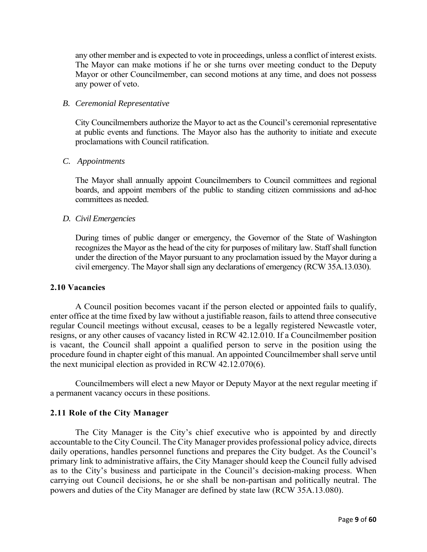any other member and is expected to vote in proceedings, unless a conflict of interest exists. The Mayor can make motions if he or she turns over meeting conduct to the Deputy Mayor or other Councilmember, can second motions at any time, and does not possess any power of veto.

#### *B. Ceremonial Representative*

City Councilmembers authorize the Mayor to act as the Council's ceremonial representative at public events and functions. The Mayor also has the authority to initiate and execute proclamations with Council ratification.

#### *C. Appointments*

The Mayor shall annually appoint Councilmembers to Council committees and regional boards, and appoint members of the public to standing citizen commissions and ad-hoc committees as needed.

#### *D. Civil Emergencies*

During times of public danger or emergency, the Governor of the State of Washington recognizes the Mayor as the head of the city for purposes of military law. Staff shall function under the direction of the Mayor pursuant to any proclamation issued by the Mayor during a civil emergency. The Mayor shall sign any declarations of emergency (RCW 35A.13.030).

#### **2.10 Vacancies**

A Council position becomes vacant if the person elected or appointed fails to qualify, enter office at the time fixed by law without a justifiable reason, fails to attend three consecutive regular Council meetings without excusal, ceases to be a legally registered Newcastle voter, resigns, or any other causes of vacancy listed in RCW 42.12.010. If a Councilmember position is vacant, the Council shall appoint a qualified person to serve in the position using the procedure found in chapter eight of this manual. An appointed Councilmember shall serve until the next municipal election as provided in RCW 42.12.070(6).

Councilmembers will elect a new Mayor or Deputy Mayor at the next regular meeting if a permanent vacancy occurs in these positions.

#### **2.11 Role of the City Manager**

The City Manager is the City's chief executive who is appointed by and directly accountable to the City Council. The City Manager provides professional policy advice, directs daily operations, handles personnel functions and prepares the City budget. As the Council's primary link to administrative affairs, the City Manager should keep the Council fully advised as to the City's business and participate in the Council's decision-making process. When carrying out Council decisions, he or she shall be non-partisan and politically neutral. The powers and duties of the City Manager are defined by state law (RCW 35A.13.080).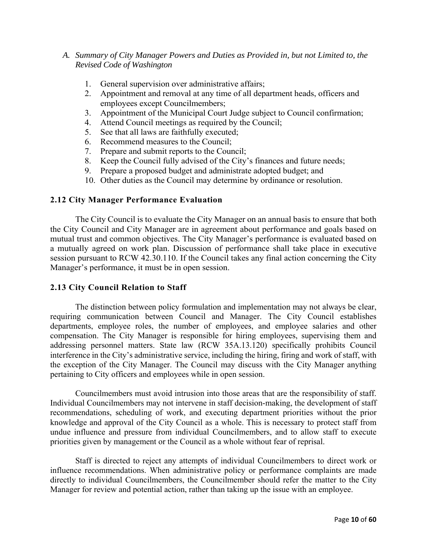### *A. Summary of City Manager Powers and Duties as Provided in, but not Limited to, the Revised Code of Washington*

- 1. General supervision over administrative affairs;
- 2. Appointment and removal at any time of all department heads, officers and employees except Councilmembers;
- 3. Appointment of the Municipal Court Judge subject to Council confirmation;
- 4. Attend Council meetings as required by the Council;
- 5. See that all laws are faithfully executed;
- 6. Recommend measures to the Council;
- 7. Prepare and submit reports to the Council;
- 8. Keep the Council fully advised of the City's finances and future needs;
- 9. Prepare a proposed budget and administrate adopted budget; and
- 10. Other duties as the Council may determine by ordinance or resolution.

#### **2.12 City Manager Performance Evaluation**

The City Council is to evaluate the City Manager on an annual basis to ensure that both the City Council and City Manager are in agreement about performance and goals based on mutual trust and common objectives. The City Manager's performance is evaluated based on a mutually agreed on work plan. Discussion of performance shall take place in executive session pursuant to RCW 42.30.110. If the Council takes any final action concerning the City Manager's performance, it must be in open session.

#### **2.13 City Council Relation to Staff**

The distinction between policy formulation and implementation may not always be clear, requiring communication between Council and Manager. The City Council establishes departments, employee roles, the number of employees, and employee salaries and other compensation. The City Manager is responsible for hiring employees, supervising them and addressing personnel matters. State law (RCW 35A.13.120) specifically prohibits Council interference in the City's administrative service, including the hiring, firing and work of staff, with the exception of the City Manager. The Council may discuss with the City Manager anything pertaining to City officers and employees while in open session.

Councilmembers must avoid intrusion into those areas that are the responsibility of staff. Individual Councilmembers may not intervene in staff decision-making, the development of staff recommendations, scheduling of work, and executing department priorities without the prior knowledge and approval of the City Council as a whole. This is necessary to protect staff from undue influence and pressure from individual Councilmembers, and to allow staff to execute priorities given by management or the Council as a whole without fear of reprisal.

Staff is directed to reject any attempts of individual Councilmembers to direct work or influence recommendations. When administrative policy or performance complaints are made directly to individual Councilmembers, the Councilmember should refer the matter to the City Manager for review and potential action, rather than taking up the issue with an employee.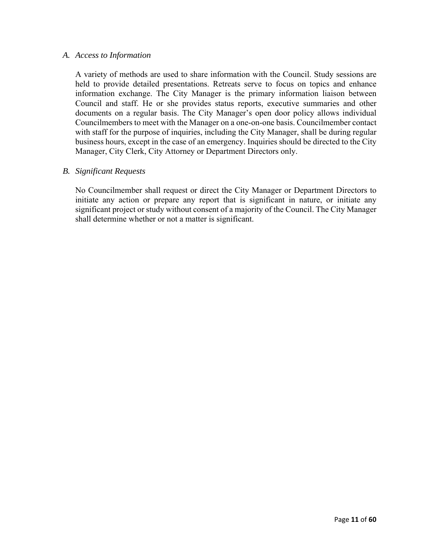#### *A. Access to Information*

A variety of methods are used to share information with the Council. Study sessions are held to provide detailed presentations. Retreats serve to focus on topics and enhance information exchange. The City Manager is the primary information liaison between Council and staff. He or she provides status reports, executive summaries and other documents on a regular basis. The City Manager's open door policy allows individual Councilmembers to meet with the Manager on a one-on-one basis. Councilmember contact with staff for the purpose of inquiries, including the City Manager, shall be during regular business hours, except in the case of an emergency. Inquiries should be directed to the City Manager, City Clerk, City Attorney or Department Directors only.

#### *B. Significant Requests*

No Councilmember shall request or direct the City Manager or Department Directors to initiate any action or prepare any report that is significant in nature, or initiate any significant project or study without consent of a majority of the Council. The City Manager shall determine whether or not a matter is significant.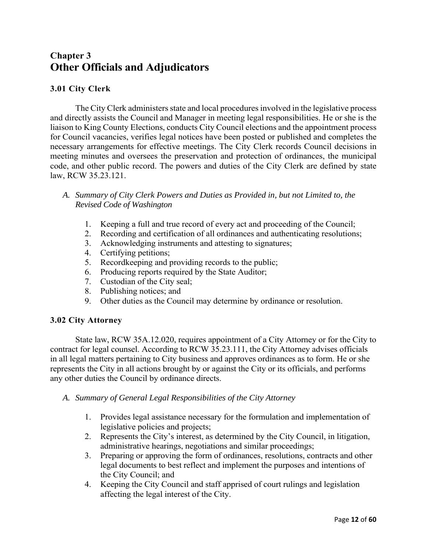# **Chapter 3 Other Officials and Adjudicators**

# **3.01 City Clerk**

The City Clerk administers state and local procedures involved in the legislative process and directly assists the Council and Manager in meeting legal responsibilities. He or she is the liaison to King County Elections, conducts City Council elections and the appointment process for Council vacancies, verifies legal notices have been posted or published and completes the necessary arrangements for effective meetings. The City Clerk records Council decisions in meeting minutes and oversees the preservation and protection of ordinances, the municipal code, and other public record. The powers and duties of the City Clerk are defined by state law, RCW 35.23.121.

#### *A. Summary of City Clerk Powers and Duties as Provided in, but not Limited to, the Revised Code of Washington*

- 1. Keeping a full and true record of every act and proceeding of the Council;
- 2. Recording and certification of all ordinances and authenticating resolutions;
- 3. Acknowledging instruments and attesting to signatures;
- 4. Certifying petitions;
- 5. Recordkeeping and providing records to the public;
- 6. Producing reports required by the State Auditor;
- 7. Custodian of the City seal;
- 8. Publishing notices; and
- 9. Other duties as the Council may determine by ordinance or resolution.

# **3.02 City Attorney**

State law, RCW 35A.12.020, requires appointment of a City Attorney or for the City to contract for legal counsel. According to RCW 35.23.111, the City Attorney advises officials in all legal matters pertaining to City business and approves ordinances as to form. He or she represents the City in all actions brought by or against the City or its officials, and performs any other duties the Council by ordinance directs.

- *A. Summary of General Legal Responsibilities of the City Attorney*
	- 1. Provides legal assistance necessary for the formulation and implementation of legislative policies and projects;
	- 2. Represents the City's interest, as determined by the City Council, in litigation, administrative hearings, negotiations and similar proceedings;
	- 3. Preparing or approving the form of ordinances, resolutions, contracts and other legal documents to best reflect and implement the purposes and intentions of the City Council; and
	- 4. Keeping the City Council and staff apprised of court rulings and legislation affecting the legal interest of the City.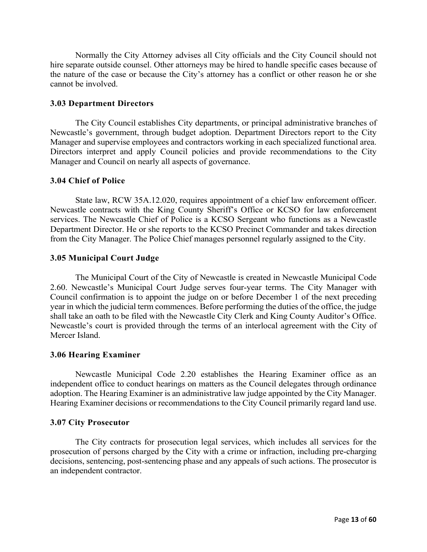Normally the City Attorney advises all City officials and the City Council should not hire separate outside counsel. Other attorneys may be hired to handle specific cases because of the nature of the case or because the City's attorney has a conflict or other reason he or she cannot be involved.

#### **3.03 Department Directors**

The City Council establishes City departments, or principal administrative branches of Newcastle's government, through budget adoption. Department Directors report to the City Manager and supervise employees and contractors working in each specialized functional area. Directors interpret and apply Council policies and provide recommendations to the City Manager and Council on nearly all aspects of governance.

#### **3.04 Chief of Police**

State law, RCW 35A.12.020, requires appointment of a chief law enforcement officer. Newcastle contracts with the King County Sheriff's Office or KCSO for law enforcement services. The Newcastle Chief of Police is a KCSO Sergeant who functions as a Newcastle Department Director. He or she reports to the KCSO Precinct Commander and takes direction from the City Manager. The Police Chief manages personnel regularly assigned to the City.

#### **3.05 Municipal Court Judge**

The Municipal Court of the City of Newcastle is created in Newcastle Municipal Code 2.60. Newcastle's Municipal Court Judge serves four-year terms. The City Manager with Council confirmation is to appoint the judge on or before December 1 of the next preceding year in which the judicial term commences. Before performing the duties of the office, the judge shall take an oath to be filed with the Newcastle City Clerk and King County Auditor's Office. Newcastle's court is provided through the terms of an interlocal agreement with the City of Mercer Island.

#### **3.06 Hearing Examiner**

Newcastle Municipal Code 2.20 establishes the Hearing Examiner office as an independent office to conduct hearings on matters as the Council delegates through ordinance adoption. The Hearing Examiner is an administrative law judge appointed by the City Manager. Hearing Examiner decisions or recommendations to the City Council primarily regard land use.

#### **3.07 City Prosecutor**

The City contracts for prosecution legal services, which includes all services for the prosecution of persons charged by the City with a crime or infraction, including pre-charging decisions, sentencing, post-sentencing phase and any appeals of such actions. The prosecutor is an independent contractor.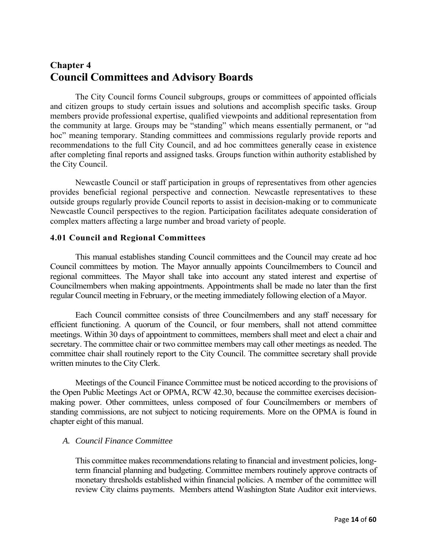# **Chapter 4 Council Committees and Advisory Boards**

The City Council forms Council subgroups, groups or committees of appointed officials and citizen groups to study certain issues and solutions and accomplish specific tasks. Group members provide professional expertise, qualified viewpoints and additional representation from the community at large. Groups may be "standing" which means essentially permanent, or "ad hoc" meaning temporary. Standing committees and commissions regularly provide reports and recommendations to the full City Council, and ad hoc committees generally cease in existence after completing final reports and assigned tasks. Groups function within authority established by the City Council.

Newcastle Council or staff participation in groups of representatives from other agencies provides beneficial regional perspective and connection. Newcastle representatives to these outside groups regularly provide Council reports to assist in decision-making or to communicate Newcastle Council perspectives to the region. Participation facilitates adequate consideration of complex matters affecting a large number and broad variety of people.

#### **4.01 Council and Regional Committees**

This manual establishes standing Council committees and the Council may create ad hoc Council committees by motion. The Mayor annually appoints Councilmembers to Council and regional committees. The Mayor shall take into account any stated interest and expertise of Councilmembers when making appointments. Appointments shall be made no later than the first regular Council meeting in February, or the meeting immediately following election of a Mayor.

Each Council committee consists of three Councilmembers and any staff necessary for efficient functioning. A quorum of the Council, or four members, shall not attend committee meetings. Within 30 days of appointment to committees, members shall meet and elect a chair and secretary. The committee chair or two committee members may call other meetings as needed. The committee chair shall routinely report to the City Council. The committee secretary shall provide written minutes to the City Clerk.

Meetings of the Council Finance Committee must be noticed according to the provisions of the Open Public Meetings Act or OPMA, RCW 42.30, because the committee exercises decisionmaking power. Other committees, unless composed of four Councilmembers or members of standing commissions, are not subject to noticing requirements. More on the OPMA is found in chapter eight of this manual.

### *A. Council Finance Committee*

This committee makes recommendations relating to financial and investment policies, longterm financial planning and budgeting. Committee members routinely approve contracts of monetary thresholds established within financial policies. A member of the committee will review City claims payments. Members attend Washington State Auditor exit interviews.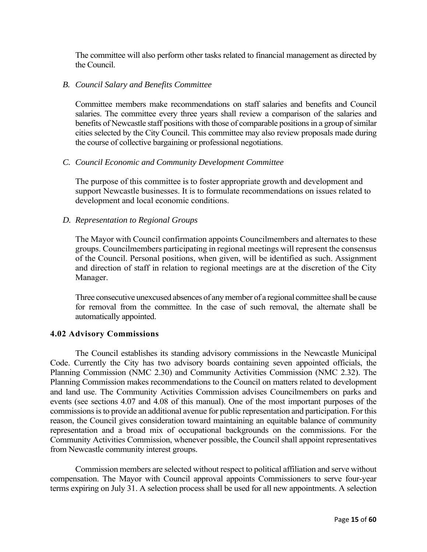The committee will also perform other tasks related to financial management as directed by the Council.

#### *B. Council Salary and Benefits Committee*

Committee members make recommendations on staff salaries and benefits and Council salaries. The committee every three years shall review a comparison of the salaries and benefits of Newcastle staff positions with those of comparable positions in a group of similar cities selected by the City Council. This committee may also review proposals made during the course of collective bargaining or professional negotiations.

#### *C. Council Economic and Community Development Committee*

The purpose of this committee is to foster appropriate growth and development and support Newcastle businesses. It is to formulate recommendations on issues related to development and local economic conditions.

#### *D. Representation to Regional Groups*

The Mayor with Council confirmation appoints Councilmembers and alternates to these groups. Councilmembers participating in regional meetings will represent the consensus of the Council. Personal positions, when given, will be identified as such. Assignment and direction of staff in relation to regional meetings are at the discretion of the City Manager.

Three consecutive unexcused absences of any member of a regional committee shall be cause for removal from the committee. In the case of such removal, the alternate shall be automatically appointed.

#### **4.02 Advisory Commissions**

The Council establishes its standing advisory commissions in the Newcastle Municipal Code. Currently the City has two advisory boards containing seven appointed officials, the Planning Commission (NMC 2.30) and Community Activities Commission (NMC 2.32). The Planning Commission makes recommendations to the Council on matters related to development and land use. The Community Activities Commission advises Councilmembers on parks and events (see sections 4.07 and 4.08 of this manual). One of the most important purposes of the commissions is to provide an additional avenue for public representation and participation. For this reason, the Council gives consideration toward maintaining an equitable balance of community representation and a broad mix of occupational backgrounds on the commissions. For the Community Activities Commission, whenever possible, the Council shall appoint representatives from Newcastle community interest groups.

Commission members are selected without respect to political affiliation and serve without compensation. The Mayor with Council approval appoints Commissioners to serve four-year terms expiring on July 31. A selection process shall be used for all new appointments. A selection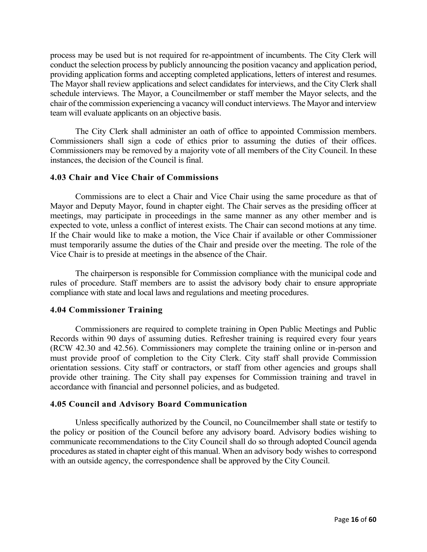process may be used but is not required for re-appointment of incumbents. The City Clerk will conduct the selection process by publicly announcing the position vacancy and application period, providing application forms and accepting completed applications, letters of interest and resumes. The Mayor shall review applications and select candidates for interviews, and the City Clerk shall schedule interviews. The Mayor, a Councilmember or staff member the Mayor selects, and the chair of the commission experiencing a vacancy will conduct interviews. The Mayor and interview team will evaluate applicants on an objective basis.

The City Clerk shall administer an oath of office to appointed Commission members. Commissioners shall sign a code of ethics prior to assuming the duties of their offices. Commissioners may be removed by a majority vote of all members of the City Council. In these instances, the decision of the Council is final.

#### **4.03 Chair and Vice Chair of Commissions**

 Commissions are to elect a Chair and Vice Chair using the same procedure as that of Mayor and Deputy Mayor, found in chapter eight. The Chair serves as the presiding officer at meetings, may participate in proceedings in the same manner as any other member and is expected to vote, unless a conflict of interest exists. The Chair can second motions at any time. If the Chair would like to make a motion, the Vice Chair if available or other Commissioner must temporarily assume the duties of the Chair and preside over the meeting. The role of the Vice Chair is to preside at meetings in the absence of the Chair.

The chairperson is responsible for Commission compliance with the municipal code and rules of procedure. Staff members are to assist the advisory body chair to ensure appropriate compliance with state and local laws and regulations and meeting procedures.

#### **4.04 Commissioner Training**

Commissioners are required to complete training in Open Public Meetings and Public Records within 90 days of assuming duties. Refresher training is required every four years (RCW 42.30 and 42.56). Commissioners may complete the training online or in-person and must provide proof of completion to the City Clerk. City staff shall provide Commission orientation sessions. City staff or contractors, or staff from other agencies and groups shall provide other training. The City shall pay expenses for Commission training and travel in accordance with financial and personnel policies, and as budgeted.

#### **4.05 Council and Advisory Board Communication**

Unless specifically authorized by the Council, no Councilmember shall state or testify to the policy or position of the Council before any advisory board. Advisory bodies wishing to communicate recommendations to the City Council shall do so through adopted Council agenda procedures as stated in chapter eight of this manual. When an advisory body wishes to correspond with an outside agency, the correspondence shall be approved by the City Council.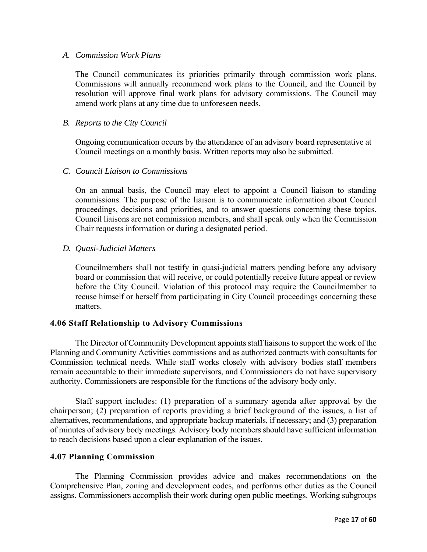#### *A. Commission Work Plans*

The Council communicates its priorities primarily through commission work plans. Commissions will annually recommend work plans to the Council, and the Council by resolution will approve final work plans for advisory commissions. The Council may amend work plans at any time due to unforeseen needs.

#### *B. Reports to the City Council*

Ongoing communication occurs by the attendance of an advisory board representative at Council meetings on a monthly basis. Written reports may also be submitted.

#### *C. Council Liaison to Commissions*

On an annual basis, the Council may elect to appoint a Council liaison to standing commissions. The purpose of the liaison is to communicate information about Council proceedings, decisions and priorities, and to answer questions concerning these topics. Council liaisons are not commission members, and shall speak only when the Commission Chair requests information or during a designated period.

# *D. Quasi-Judicial Matters*

Councilmembers shall not testify in quasi-judicial matters pending before any advisory board or commission that will receive, or could potentially receive future appeal or review before the City Council. Violation of this protocol may require the Councilmember to recuse himself or herself from participating in City Council proceedings concerning these matters.

#### **4.06 Staff Relationship to Advisory Commissions**

The Director of Community Development appoints staff liaisons to support the work of the Planning and Community Activities commissions and as authorized contracts with consultants for Commission technical needs. While staff works closely with advisory bodies staff members remain accountable to their immediate supervisors, and Commissioners do not have supervisory authority. Commissioners are responsible for the functions of the advisory body only.

Staff support includes: (1) preparation of a summary agenda after approval by the chairperson; (2) preparation of reports providing a brief background of the issues, a list of alternatives, recommendations, and appropriate backup materials, if necessary; and (3) preparation of minutes of advisory body meetings. Advisory body members should have sufficient information to reach decisions based upon a clear explanation of the issues.

#### **4.07 Planning Commission**

The Planning Commission provides advice and makes recommendations on the Comprehensive Plan, zoning and development codes, and performs other duties as the Council assigns. Commissioners accomplish their work during open public meetings. Working subgroups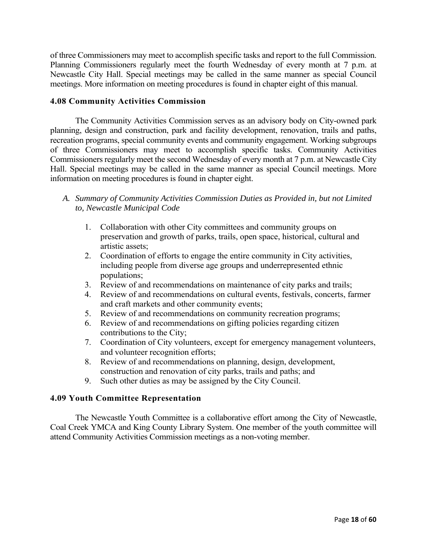of three Commissioners may meet to accomplish specific tasks and report to the full Commission. Planning Commissioners regularly meet the fourth Wednesday of every month at 7 p.m. at Newcastle City Hall. Special meetings may be called in the same manner as special Council meetings. More information on meeting procedures is found in chapter eight of this manual.

# **4.08 Community Activities Commission**

The Community Activities Commission serves as an advisory body on City-owned park planning, design and construction, park and facility development, renovation, trails and paths, recreation programs, special community events and community engagement. Working subgroups of three Commissioners may meet to accomplish specific tasks. Community Activities Commissioners regularly meet the second Wednesday of every month at 7 p.m. at Newcastle City Hall. Special meetings may be called in the same manner as special Council meetings. More information on meeting procedures is found in chapter eight.

- *A. Summary of Community Activities Commission Duties as Provided in, but not Limited to, Newcastle Municipal Code*
	- 1. Collaboration with other City committees and community groups on preservation and growth of parks, trails, open space, historical, cultural and artistic assets;
	- 2. Coordination of efforts to engage the entire community in City activities, including people from diverse age groups and underrepresented ethnic populations;
	- 3. Review of and recommendations on maintenance of city parks and trails;
	- 4. Review of and recommendations on cultural events, festivals, concerts, farmer and craft markets and other community events;
	- 5. Review of and recommendations on community recreation programs;
	- 6. Review of and recommendations on gifting policies regarding citizen contributions to the City;
	- 7. Coordination of City volunteers, except for emergency management volunteers, and volunteer recognition efforts;
	- 8. Review of and recommendations on planning, design, development, construction and renovation of city parks, trails and paths; and
	- 9. Such other duties as may be assigned by the City Council.

#### **4.09 Youth Committee Representation**

The Newcastle Youth Committee is a collaborative effort among the City of Newcastle, Coal Creek YMCA and King County Library System. One member of the youth committee will attend Community Activities Commission meetings as a non-voting member.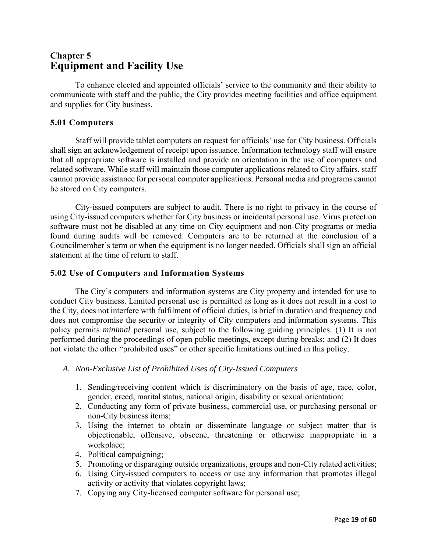# **Chapter 5 Equipment and Facility Use**

To enhance elected and appointed officials' service to the community and their ability to communicate with staff and the public, the City provides meeting facilities and office equipment and supplies for City business.

# **5.01 Computers**

Staff will provide tablet computers on request for officials' use for City business. Officials shall sign an acknowledgement of receipt upon issuance. Information technology staff will ensure that all appropriate software is installed and provide an orientation in the use of computers and related software. While staff will maintain those computer applications related to City affairs, staff cannot provide assistance for personal computer applications. Personal media and programs cannot be stored on City computers.

City-issued computers are subject to audit. There is no right to privacy in the course of using City-issued computers whether for City business or incidental personal use. Virus protection software must not be disabled at any time on City equipment and non-City programs or media found during audits will be removed. Computers are to be returned at the conclusion of a Councilmember's term or when the equipment is no longer needed. Officials shall sign an official statement at the time of return to staff.

#### **5.02 Use of Computers and Information Systems**

The City's computers and information systems are City property and intended for use to conduct City business. Limited personal use is permitted as long as it does not result in a cost to the City, does not interfere with fulfilment of official duties, is brief in duration and frequency and does not compromise the security or integrity of City computers and information systems. This policy permits *minimal* personal use, subject to the following guiding principles: (1) It is not performed during the proceedings of open public meetings, except during breaks; and (2) It does not violate the other "prohibited uses" or other specific limitations outlined in this policy.

#### *A. Non-Exclusive List of Prohibited Uses of City-Issued Computers*

- 1. Sending/receiving content which is discriminatory on the basis of age, race, color, gender, creed, marital status, national origin, disability or sexual orientation;
- 2. Conducting any form of private business, commercial use, or purchasing personal or non-City business items;
- 3. Using the internet to obtain or disseminate language or subject matter that is objectionable, offensive, obscene, threatening or otherwise inappropriate in a workplace;
- 4. Political campaigning;
- 5. Promoting or disparaging outside organizations, groups and non-City related activities;
- 6. Using City-issued computers to access or use any information that promotes illegal activity or activity that violates copyright laws;
- 7. Copying any City-licensed computer software for personal use;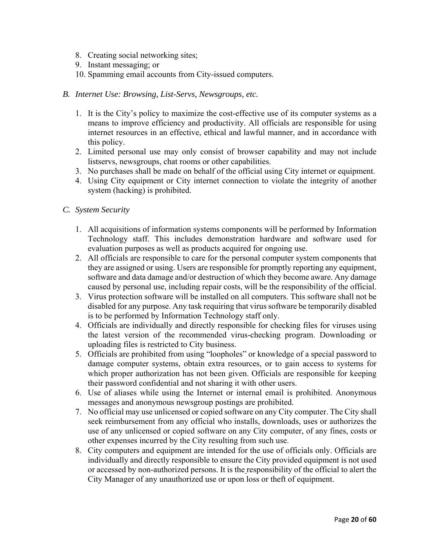- 8. Creating social networking sites;
- 9. Instant messaging; or
- 10. Spamming email accounts from City-issued computers.
- *B. Internet Use: Browsing, List-Servs, Newsgroups, etc.*
	- 1. It is the City's policy to maximize the cost-effective use of its computer systems as a means to improve efficiency and productivity. All officials are responsible for using internet resources in an effective, ethical and lawful manner, and in accordance with this policy.
	- 2. Limited personal use may only consist of browser capability and may not include listservs, newsgroups, chat rooms or other capabilities.
	- 3. No purchases shall be made on behalf of the official using City internet or equipment.
	- 4. Using City equipment or City internet connection to violate the integrity of another system (hacking) is prohibited.
- *C. System Security*
	- 1. All acquisitions of information systems components will be performed by Information Technology staff. This includes demonstration hardware and software used for evaluation purposes as well as products acquired for ongoing use.
	- 2. All officials are responsible to care for the personal computer system components that they are assigned or using. Users are responsible for promptly reporting any equipment, software and data damage and/or destruction of which they become aware. Any damage caused by personal use, including repair costs, will be the responsibility of the official.
	- 3. Virus protection software will be installed on all computers. This software shall not be disabled for any purpose. Any task requiring that virus software be temporarily disabled is to be performed by Information Technology staff only.
	- 4. Officials are individually and directly responsible for checking files for viruses using the latest version of the recommended virus-checking program. Downloading or uploading files is restricted to City business.
	- 5. Officials are prohibited from using "loopholes" or knowledge of a special password to damage computer systems, obtain extra resources, or to gain access to systems for which proper authorization has not been given. Officials are responsible for keeping their password confidential and not sharing it with other users.
	- 6. Use of aliases while using the Internet or internal email is prohibited. Anonymous messages and anonymous newsgroup postings are prohibited.
	- 7. No official may use unlicensed or copied software on any City computer. The City shall seek reimbursement from any official who installs, downloads, uses or authorizes the use of any unlicensed or copied software on any City computer, of any fines, costs or other expenses incurred by the City resulting from such use.
	- 8. City computers and equipment are intended for the use of officials only. Officials are individually and directly responsible to ensure the City provided equipment is not used or accessed by non-authorized persons. It is the responsibility of the official to alert the City Manager of any unauthorized use or upon loss or theft of equipment.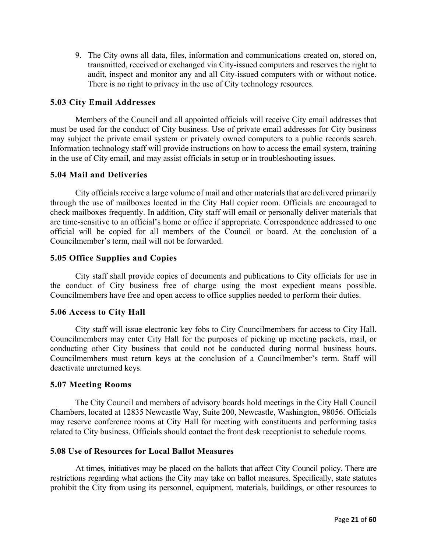9. The City owns all data, files, information and communications created on, stored on, transmitted, received or exchanged via City-issued computers and reserves the right to audit, inspect and monitor any and all City-issued computers with or without notice. There is no right to privacy in the use of City technology resources.

#### **5.03 City Email Addresses**

Members of the Council and all appointed officials will receive City email addresses that must be used for the conduct of City business. Use of private email addresses for City business may subject the private email system or privately owned computers to a public records search. Information technology staff will provide instructions on how to access the email system, training in the use of City email, and may assist officials in setup or in troubleshooting issues.

#### **5.04 Mail and Deliveries**

City officials receive a large volume of mail and other materials that are delivered primarily through the use of mailboxes located in the City Hall copier room. Officials are encouraged to check mailboxes frequently. In addition, City staff will email or personally deliver materials that are time-sensitive to an official's home or office if appropriate. Correspondence addressed to one official will be copied for all members of the Council or board. At the conclusion of a Councilmember's term, mail will not be forwarded.

#### **5.05 Office Supplies and Copies**

City staff shall provide copies of documents and publications to City officials for use in the conduct of City business free of charge using the most expedient means possible. Councilmembers have free and open access to office supplies needed to perform their duties.

#### **5.06 Access to City Hall**

City staff will issue electronic key fobs to City Councilmembers for access to City Hall. Councilmembers may enter City Hall for the purposes of picking up meeting packets, mail, or conducting other City business that could not be conducted during normal business hours. Councilmembers must return keys at the conclusion of a Councilmember's term. Staff will deactivate unreturned keys.

#### **5.07 Meeting Rooms**

The City Council and members of advisory boards hold meetings in the City Hall Council Chambers, located at 12835 Newcastle Way, Suite 200, Newcastle, Washington, 98056. Officials may reserve conference rooms at City Hall for meeting with constituents and performing tasks related to City business. Officials should contact the front desk receptionist to schedule rooms.

#### **5.08 Use of Resources for Local Ballot Measures**

At times, initiatives may be placed on the ballots that affect City Council policy. There are restrictions regarding what actions the City may take on ballot measures. Specifically, state statutes prohibit the City from using its personnel, equipment, materials, buildings, or other resources to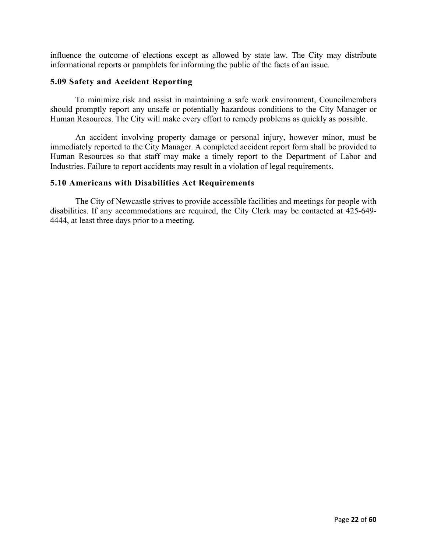influence the outcome of elections except as allowed by state law. The City may distribute informational reports or pamphlets for informing the public of the facts of an issue.

#### **5.09 Safety and Accident Reporting**

To minimize risk and assist in maintaining a safe work environment, Councilmembers should promptly report any unsafe or potentially hazardous conditions to the City Manager or Human Resources. The City will make every effort to remedy problems as quickly as possible.

An accident involving property damage or personal injury, however minor, must be immediately reported to the City Manager. A completed accident report form shall be provided to Human Resources so that staff may make a timely report to the Department of Labor and Industries. Failure to report accidents may result in a violation of legal requirements.

#### **5.10 Americans with Disabilities Act Requirements**

The City of Newcastle strives to provide accessible facilities and meetings for people with disabilities. If any accommodations are required, the City Clerk may be contacted at 425-649- 4444, at least three days prior to a meeting.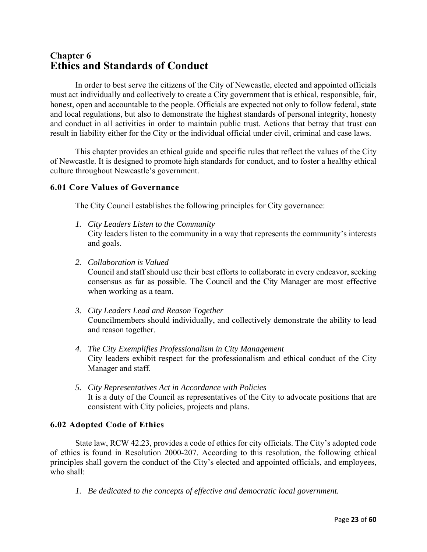# **Chapter 6 Ethics and Standards of Conduct**

In order to best serve the citizens of the City of Newcastle, elected and appointed officials must act individually and collectively to create a City government that is ethical, responsible, fair, honest, open and accountable to the people. Officials are expected not only to follow federal, state and local regulations, but also to demonstrate the highest standards of personal integrity, honesty and conduct in all activities in order to maintain public trust. Actions that betray that trust can result in liability either for the City or the individual official under civil, criminal and case laws.

This chapter provides an ethical guide and specific rules that reflect the values of the City of Newcastle. It is designed to promote high standards for conduct, and to foster a healthy ethical culture throughout Newcastle's government.

# **6.01 Core Values of Governance**

The City Council establishes the following principles for City governance:

- *1. City Leaders Listen to the Community*  City leaders listen to the community in a way that represents the community's interests and goals.
- *2. Collaboration is Valued*

Council and staff should use their best efforts to collaborate in every endeavor, seeking consensus as far as possible. The Council and the City Manager are most effective when working as a team.

- *3. City Leaders Lead and Reason Together*  Councilmembers should individually, and collectively demonstrate the ability to lead and reason together.
- *4. The City Exemplifies Professionalism in City Management*  City leaders exhibit respect for the professionalism and ethical conduct of the City Manager and staff.
- *5. City Representatives Act in Accordance with Policies*  It is a duty of the Council as representatives of the City to advocate positions that are consistent with City policies, projects and plans.

#### **6.02 Adopted Code of Ethics**

State law, RCW 42.23, provides a code of ethics for city officials. The City's adopted code of ethics is found in Resolution 2000-207. According to this resolution, the following ethical principles shall govern the conduct of the City's elected and appointed officials, and employees, who shall:

*1. Be dedicated to the concepts of effective and democratic local government.*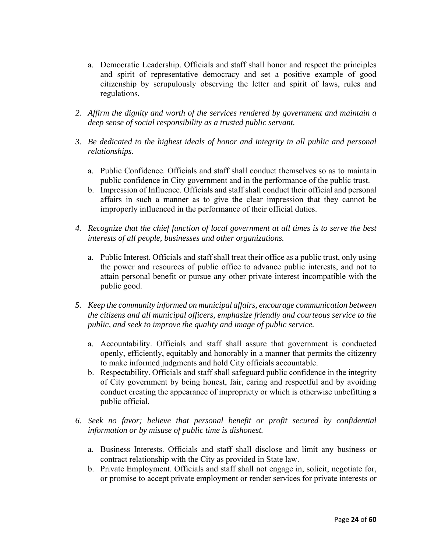- a. Democratic Leadership. Officials and staff shall honor and respect the principles and spirit of representative democracy and set a positive example of good citizenship by scrupulously observing the letter and spirit of laws, rules and regulations.
- *2. Affirm the dignity and worth of the services rendered by government and maintain a deep sense of social responsibility as a trusted public servant.*
- *3. Be dedicated to the highest ideals of honor and integrity in all public and personal relationships.* 
	- a. Public Confidence. Officials and staff shall conduct themselves so as to maintain public confidence in City government and in the performance of the public trust.
	- b. Impression of Influence. Officials and staff shall conduct their official and personal affairs in such a manner as to give the clear impression that they cannot be improperly influenced in the performance of their official duties.
- *4. Recognize that the chief function of local government at all times is to serve the best interests of all people, businesses and other organizations.* 
	- a. Public Interest. Officials and staff shall treat their office as a public trust, only using the power and resources of public office to advance public interests, and not to attain personal benefit or pursue any other private interest incompatible with the public good.
- *5. Keep the community informed on municipal affairs, encourage communication between the citizens and all municipal officers, emphasize friendly and courteous service to the public, and seek to improve the quality and image of public service.* 
	- a. Accountability. Officials and staff shall assure that government is conducted openly, efficiently, equitably and honorably in a manner that permits the citizenry to make informed judgments and hold City officials accountable.
	- b. Respectability. Officials and staff shall safeguard public confidence in the integrity of City government by being honest, fair, caring and respectful and by avoiding conduct creating the appearance of impropriety or which is otherwise unbefitting a public official.
- *6. Seek no favor; believe that personal benefit or profit secured by confidential information or by misuse of public time is dishonest.* 
	- a. Business Interests. Officials and staff shall disclose and limit any business or contract relationship with the City as provided in State law.
	- b. Private Employment. Officials and staff shall not engage in, solicit, negotiate for, or promise to accept private employment or render services for private interests or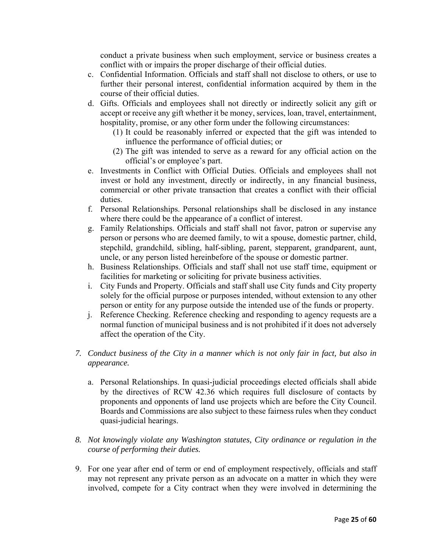conduct a private business when such employment, service or business creates a conflict with or impairs the proper discharge of their official duties.

- c. Confidential Information. Officials and staff shall not disclose to others, or use to further their personal interest, confidential information acquired by them in the course of their official duties.
- d. Gifts. Officials and employees shall not directly or indirectly solicit any gift or accept or receive any gift whether it be money, services, loan, travel, entertainment, hospitality, promise, or any other form under the following circumstances:
	- (1) It could be reasonably inferred or expected that the gift was intended to influence the performance of official duties; or
	- (2) The gift was intended to serve as a reward for any official action on the official's or employee's part.
- e. Investments in Conflict with Official Duties. Officials and employees shall not invest or hold any investment, directly or indirectly, in any financial business, commercial or other private transaction that creates a conflict with their official duties.
- f. Personal Relationships. Personal relationships shall be disclosed in any instance where there could be the appearance of a conflict of interest.
- g. Family Relationships. Officials and staff shall not favor, patron or supervise any person or persons who are deemed family, to wit a spouse, domestic partner, child, stepchild, grandchild, sibling, half-sibling, parent, stepparent, grandparent, aunt, uncle, or any person listed hereinbefore of the spouse or domestic partner.
- h. Business Relationships. Officials and staff shall not use staff time, equipment or facilities for marketing or soliciting for private business activities.
- i. City Funds and Property. Officials and staff shall use City funds and City property solely for the official purpose or purposes intended, without extension to any other person or entity for any purpose outside the intended use of the funds or property.
- j. Reference Checking. Reference checking and responding to agency requests are a normal function of municipal business and is not prohibited if it does not adversely affect the operation of the City.
- *7. Conduct business of the City in a manner which is not only fair in fact, but also in appearance.* 
	- a. Personal Relationships. In quasi-judicial proceedings elected officials shall abide by the directives of RCW 42.36 which requires full disclosure of contacts by proponents and opponents of land use projects which are before the City Council. Boards and Commissions are also subject to these fairness rules when they conduct quasi-judicial hearings.
- *8. Not knowingly violate any Washington statutes, City ordinance or regulation in the course of performing their duties.*
- 9. For one year after end of term or end of employment respectively, officials and staff may not represent any private person as an advocate on a matter in which they were involved, compete for a City contract when they were involved in determining the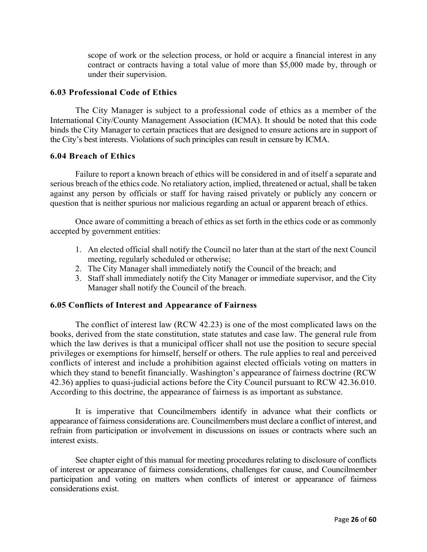scope of work or the selection process, or hold or acquire a financial interest in any contract or contracts having a total value of more than \$5,000 made by, through or under their supervision.

#### **6.03 Professional Code of Ethics**

The City Manager is subject to a professional code of ethics as a member of the International City/County Management Association (ICMA). It should be noted that this code binds the City Manager to certain practices that are designed to ensure actions are in support of the City's best interests. Violations of such principles can result in censure by ICMA.

#### **6.04 Breach of Ethics**

Failure to report a known breach of ethics will be considered in and of itself a separate and serious breach of the ethics code. No retaliatory action, implied, threatened or actual, shall be taken against any person by officials or staff for having raised privately or publicly any concern or question that is neither spurious nor malicious regarding an actual or apparent breach of ethics.

Once aware of committing a breach of ethics as set forth in the ethics code or as commonly accepted by government entities:

- 1. An elected official shall notify the Council no later than at the start of the next Council meeting, regularly scheduled or otherwise;
- 2. The City Manager shall immediately notify the Council of the breach; and
- 3. Staff shall immediately notify the City Manager or immediate supervisor, and the City Manager shall notify the Council of the breach.

#### **6.05 Conflicts of Interest and Appearance of Fairness**

The conflict of interest law (RCW 42.23) is one of the most complicated laws on the books, derived from the state constitution, state statutes and case law. The general rule from which the law derives is that a municipal officer shall not use the position to secure special privileges or exemptions for himself, herself or others. The rule applies to real and perceived conflicts of interest and include a prohibition against elected officials voting on matters in which they stand to benefit financially. Washington's appearance of fairness doctrine (RCW 42.36) applies to quasi-judicial actions before the City Council pursuant to RCW 42.36.010. According to this doctrine, the appearance of fairness is as important as substance.

It is imperative that Councilmembers identify in advance what their conflicts or appearance of fairness considerations are. Councilmembers must declare a conflict of interest, and refrain from participation or involvement in discussions on issues or contracts where such an interest exists.

See chapter eight of this manual for meeting procedures relating to disclosure of conflicts of interest or appearance of fairness considerations, challenges for cause, and Councilmember participation and voting on matters when conflicts of interest or appearance of fairness considerations exist.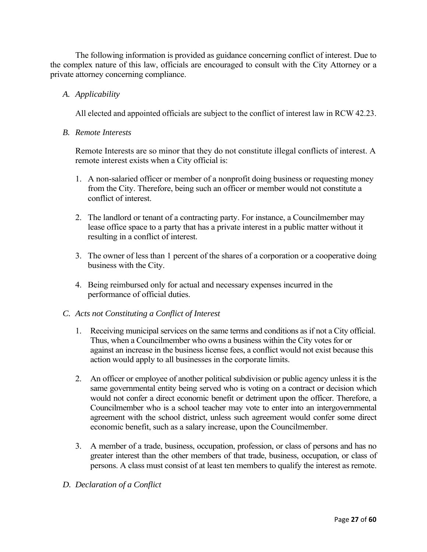The following information is provided as guidance concerning conflict of interest. Due to the complex nature of this law, officials are encouraged to consult with the City Attorney or a private attorney concerning compliance.

### *A. Applicability*

All elected and appointed officials are subject to the conflict of interest law in RCW 42.23.

#### *B. Remote Interests*

Remote Interests are so minor that they do not constitute illegal conflicts of interest. A remote interest exists when a City official is:

- 1. A non-salaried officer or member of a nonprofit doing business or requesting money from the City. Therefore, being such an officer or member would not constitute a conflict of interest.
- 2. The landlord or tenant of a contracting party. For instance, a Councilmember may lease office space to a party that has a private interest in a public matter without it resulting in a conflict of interest.
- 3. The owner of less than 1 percent of the shares of a corporation or a cooperative doing business with the City.
- 4. Being reimbursed only for actual and necessary expenses incurred in the performance of official duties.

#### *C. Acts not Constituting a Conflict of Interest*

- 1. Receiving municipal services on the same terms and conditions as if not a City official. Thus, when a Councilmember who owns a business within the City votes for or against an increase in the business license fees, a conflict would not exist because this action would apply to all businesses in the corporate limits.
- 2. An officer or employee of another political subdivision or public agency unless it is the same governmental entity being served who is voting on a contract or decision which would not confer a direct economic benefit or detriment upon the officer. Therefore, a Councilmember who is a school teacher may vote to enter into an intergovernmental agreement with the school district, unless such agreement would confer some direct economic benefit, such as a salary increase, upon the Councilmember.
- 3. A member of a trade, business, occupation, profession, or class of persons and has no greater interest than the other members of that trade, business, occupation, or class of persons. A class must consist of at least ten members to qualify the interest as remote.

#### *D. Declaration of a Conflict*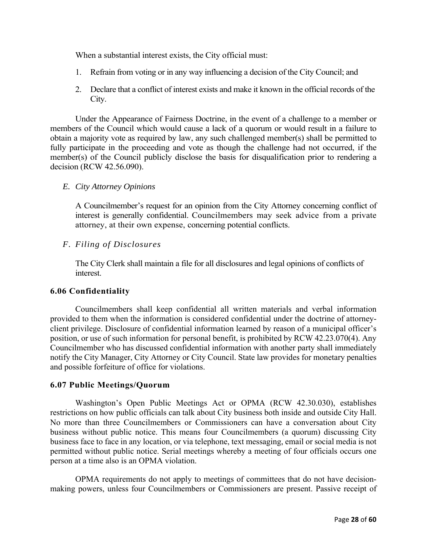When a substantial interest exists, the City official must:

- 1. Refrain from voting or in any way influencing a decision of the City Council; and
- 2. Declare that a conflict of interest exists and make it known in the official records of the City.

Under the Appearance of Fairness Doctrine, in the event of a challenge to a member or members of the Council which would cause a lack of a quorum or would result in a failure to obtain a majority vote as required by law, any such challenged member(s) shall be permitted to fully participate in the proceeding and vote as though the challenge had not occurred, if the member(s) of the Council publicly disclose the basis for disqualification prior to rendering a decision (RCW 42.56.090).

#### *E. City Attorney Opinions*

A Councilmember's request for an opinion from the City Attorney concerning conflict of interest is generally confidential. Councilmembers may seek advice from a private attorney, at their own expense, concerning potential conflicts.

#### *F. Filing of Disclosures*

The City Clerk shall maintain a file for all disclosures and legal opinions of conflicts of interest.

#### **6.06 Confidentiality**

Councilmembers shall keep confidential all written materials and verbal information provided to them when the information is considered confidential under the doctrine of attorneyclient privilege. Disclosure of confidential information learned by reason of a municipal officer's position, or use of such information for personal benefit, is prohibited by RCW 42.23.070(4). Any Councilmember who has discussed confidential information with another party shall immediately notify the City Manager, City Attorney or City Council. State law provides for monetary penalties and possible forfeiture of office for violations.

#### **6.07 Public Meetings/Quorum**

Washington's Open Public Meetings Act or OPMA (RCW 42.30.030), establishes restrictions on how public officials can talk about City business both inside and outside City Hall. No more than three Councilmembers or Commissioners can have a conversation about City business without public notice. This means four Councilmembers (a quorum) discussing City business face to face in any location, or via telephone, text messaging, email or social media is not permitted without public notice. Serial meetings whereby a meeting of four officials occurs one person at a time also is an OPMA violation.

OPMA requirements do not apply to meetings of committees that do not have decisionmaking powers, unless four Councilmembers or Commissioners are present. Passive receipt of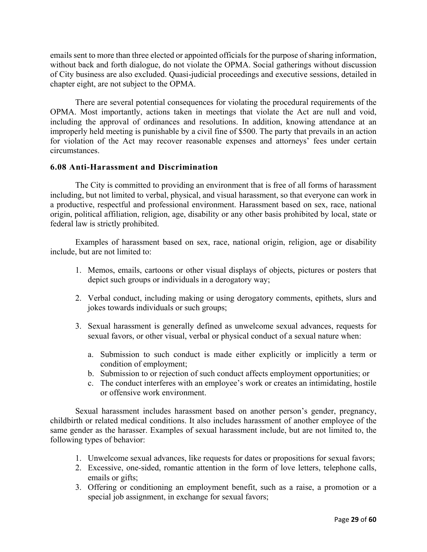emails sent to more than three elected or appointed officials for the purpose of sharing information, without back and forth dialogue, do not violate the OPMA. Social gatherings without discussion of City business are also excluded. Quasi-judicial proceedings and executive sessions, detailed in chapter eight, are not subject to the OPMA.

There are several potential consequences for violating the procedural requirements of the OPMA. Most importantly, actions taken in meetings that violate the Act are null and void, including the approval of ordinances and resolutions. In addition, knowing attendance at an improperly held meeting is punishable by a civil fine of \$500. The party that prevails in an action for violation of the Act may recover reasonable expenses and attorneys' fees under certain circumstances.

#### **6.08 Anti-Harassment and Discrimination**

The City is committed to providing an environment that is free of all forms of harassment including, but not limited to verbal, physical, and visual harassment, so that everyone can work in a productive, respectful and professional environment. Harassment based on sex, race, national origin, political affiliation, religion, age, disability or any other basis prohibited by local, state or federal law is strictly prohibited.

Examples of harassment based on sex, race, national origin, religion, age or disability include, but are not limited to:

- 1. Memos, emails, cartoons or other visual displays of objects, pictures or posters that depict such groups or individuals in a derogatory way;
- 2. Verbal conduct, including making or using derogatory comments, epithets, slurs and jokes towards individuals or such groups;
- 3. Sexual harassment is generally defined as unwelcome sexual advances, requests for sexual favors, or other visual, verbal or physical conduct of a sexual nature when:
	- a. Submission to such conduct is made either explicitly or implicitly a term or condition of employment;
	- b. Submission to or rejection of such conduct affects employment opportunities; or
	- c. The conduct interferes with an employee's work or creates an intimidating, hostile or offensive work environment.

Sexual harassment includes harassment based on another person's gender, pregnancy, childbirth or related medical conditions. It also includes harassment of another employee of the same gender as the harasser. Examples of sexual harassment include, but are not limited to, the following types of behavior:

- 1. Unwelcome sexual advances, like requests for dates or propositions for sexual favors;
- 2. Excessive, one-sided, romantic attention in the form of love letters, telephone calls, emails or gifts;
- 3. Offering or conditioning an employment benefit, such as a raise, a promotion or a special job assignment, in exchange for sexual favors;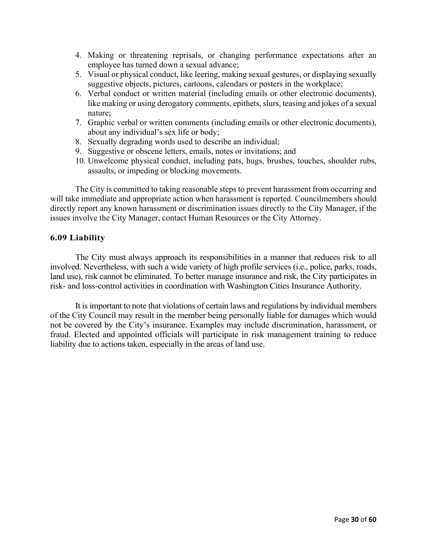- 4. Making or threatening reprisals, or changing performance expectations after an employee has turned down a sexual advance;
- 5. Visual or physical conduct, like leering, making sexual gestures, or displaying sexually suggestive objects, pictures, cartoons, calendars or posters in the workplace;
- 6. Verbal conduct or written material (including emails or other electronic documents), like making or using derogatory comments, epithets, slurs, teasing and jokes of a sexual nature;
- 7. Graphic verbal or written comments (including emails or other electronic documents), about any individual's sex life or body;
- 8. Sexually degrading words used to describe an individual;
- 9. Suggestive or obscene letters, emails, notes or invitations; and
- 10. Unwelcome physical conduct, including pats, hugs, brushes, touches, shoulder rubs, assaults, or impeding or blocking movements.

The City is committed to taking reasonable steps to prevent harassment from occurring and will take immediate and appropriate action when harassment is reported. Councilmembers should directly report any known harassment or discrimination issues directly to the City Manager, if the issues involve the City Manager, contact Human Resources or the City Attorney.

#### **6.09 Liability**

The City must always approach its responsibilities in a manner that reduces risk to all involved. Nevertheless, with such a wide variety of high profile services (i.e., police, parks, roads, land use), risk cannot be eliminated. To better manage insurance and risk, the City participates in risk- and loss-control activities in coordination with Washington Cities Insurance Authority.

It is important to note that violations of certain laws and regulations by individual members of the City Council may result in the member being personally liable for damages which would not be covered by the City's insurance. Examples may include discrimination, harassment, or fraud. Elected and appointed officials will participate in risk management training to reduce liability due to actions taken, especially in the areas of land use.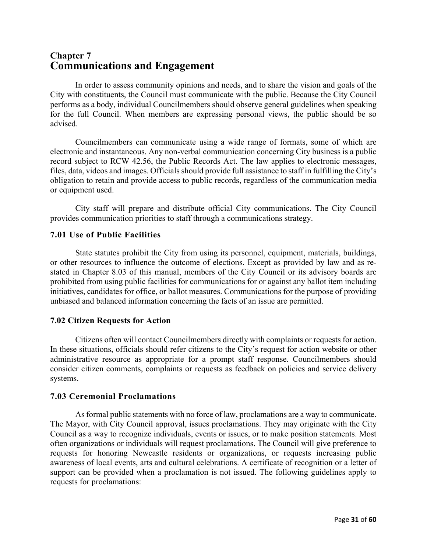# **Chapter 7 Communications and Engagement**

In order to assess community opinions and needs, and to share the vision and goals of the City with constituents, the Council must communicate with the public. Because the City Council performs as a body, individual Councilmembers should observe general guidelines when speaking for the full Council. When members are expressing personal views, the public should be so advised.

Councilmembers can communicate using a wide range of formats, some of which are electronic and instantaneous. Any non-verbal communication concerning City business is a public record subject to RCW 42.56, the Public Records Act. The law applies to electronic messages, files, data, videos and images. Officials should provide full assistance to staff in fulfilling the City's obligation to retain and provide access to public records, regardless of the communication media or equipment used.

City staff will prepare and distribute official City communications. The City Council provides communication priorities to staff through a communications strategy.

# **7.01 Use of Public Facilities**

State statutes prohibit the City from using its personnel, equipment, materials, buildings, or other resources to influence the outcome of elections. Except as provided by law and as restated in Chapter 8.03 of this manual, members of the City Council or its advisory boards are prohibited from using public facilities for communications for or against any ballot item including initiatives, candidates for office, or ballot measures. Communications for the purpose of providing unbiased and balanced information concerning the facts of an issue are permitted.

# **7.02 Citizen Requests for Action**

Citizens often will contact Councilmembers directly with complaints or requests for action. In these situations, officials should refer citizens to the City's request for action website or other administrative resource as appropriate for a prompt staff response. Councilmembers should consider citizen comments, complaints or requests as feedback on policies and service delivery systems.

# **7.03 Ceremonial Proclamations**

As formal public statements with no force of law, proclamations are a way to communicate. The Mayor, with City Council approval, issues proclamations. They may originate with the City Council as a way to recognize individuals, events or issues, or to make position statements. Most often organizations or individuals will request proclamations. The Council will give preference to requests for honoring Newcastle residents or organizations, or requests increasing public awareness of local events, arts and cultural celebrations. A certificate of recognition or a letter of support can be provided when a proclamation is not issued. The following guidelines apply to requests for proclamations: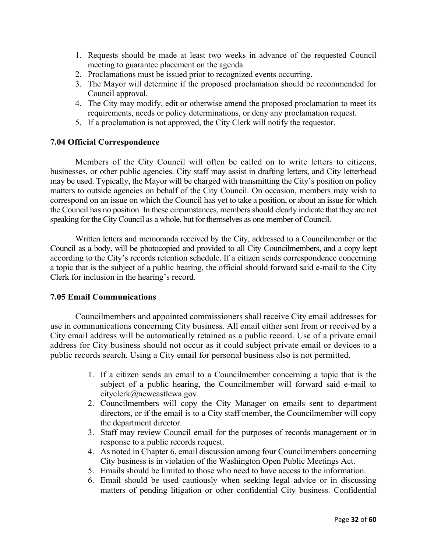- 1. Requests should be made at least two weeks in advance of the requested Council meeting to guarantee placement on the agenda.
- 2. Proclamations must be issued prior to recognized events occurring.
- 3. The Mayor will determine if the proposed proclamation should be recommended for Council approval.
- 4. The City may modify, edit or otherwise amend the proposed proclamation to meet its requirements, needs or policy determinations, or deny any proclamation request.
- 5. If a proclamation is not approved, the City Clerk will notify the requestor.

#### **7.04 Official Correspondence**

Members of the City Council will often be called on to write letters to citizens, businesses, or other public agencies. City staff may assist in drafting letters, and City letterhead may be used. Typically, the Mayor will be charged with transmitting the City's position on policy matters to outside agencies on behalf of the City Council. On occasion, members may wish to correspond on an issue on which the Council has yet to take a position, or about an issue for which the Council has no position. In these circumstances, members should clearly indicate that they are not speaking for the City Council as a whole, but for themselves as one member of Council.

Written letters and memoranda received by the City, addressed to a Councilmember or the Council as a body, will be photocopied and provided to all City Councilmembers, and a copy kept according to the City's records retention schedule. If a citizen sends correspondence concerning a topic that is the subject of a public hearing, the official should forward said e-mail to the City Clerk for inclusion in the hearing's record.

#### **7.05 Email Communications**

Councilmembers and appointed commissioners shall receive City email addresses for use in communications concerning City business. All email either sent from or received by a City email address will be automatically retained as a public record. Use of a private email address for City business should not occur as it could subject private email or devices to a public records search. Using a City email for personal business also is not permitted.

- 1. If a citizen sends an email to a Councilmember concerning a topic that is the subject of a public hearing, the Councilmember will forward said e-mail to cityclerk@newcastlewa.gov.
- 2. Councilmembers will copy the City Manager on emails sent to department directors, or if the email is to a City staff member, the Councilmember will copy the department director.
- 3. Staff may review Council email for the purposes of records management or in response to a public records request.
- 4. As noted in Chapter 6, email discussion among four Councilmembers concerning City business is in violation of the Washington Open Public Meetings Act.
- 5. Emails should be limited to those who need to have access to the information.
- 6. Email should be used cautiously when seeking legal advice or in discussing matters of pending litigation or other confidential City business. Confidential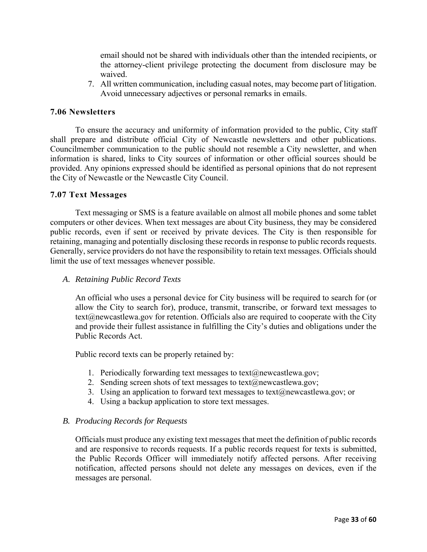email should not be shared with individuals other than the intended recipients, or the attorney-client privilege protecting the document from disclosure may be waived.

7. All written communication, including casual notes, may become part of litigation. Avoid unnecessary adjectives or personal remarks in emails.

# **7.06 Newsletters**

To ensure the accuracy and uniformity of information provided to the public, City staff shall prepare and distribute official City of Newcastle newsletters and other publications. Councilmember communication to the public should not resemble a City newsletter, and when information is shared, links to City sources of information or other official sources should be provided. Any opinions expressed should be identified as personal opinions that do not represent the City of Newcastle or the Newcastle City Council.

#### **7.07 Text Messages**

Text messaging or SMS is a feature available on almost all mobile phones and some tablet computers or other devices. When text messages are about City business, they may be considered public records, even if sent or received by private devices. The City is then responsible for retaining, managing and potentially disclosing these records in response to public records requests. Generally, service providers do not have the responsibility to retain text messages. Officials should limit the use of text messages whenever possible.

#### *A. Retaining Public Record Texts*

An official who uses a personal device for City business will be required to search for (or allow the City to search for), produce, transmit, transcribe, or forward text messages to  $text(\hat{\omega})$ newcastlewa.gov for retention. Officials also are required to cooperate with the City and provide their fullest assistance in fulfilling the City's duties and obligations under the Public Records Act.

Public record texts can be properly retained by:

- 1. Periodically forwarding text messages to text $(\hat{\omega})$ newcastlewa.gov;
- 2. Sending screen shots of text messages to text $(a)$ newcastlewa.gov;
- 3. Using an application to forward text messages to text $(\partial \Omega)$ newcastlewa.gov; or
- 4. Using a backup application to store text messages.

#### *B. Producing Records for Requests*

Officials must produce any existing text messages that meet the definition of public records and are responsive to records requests. If a public records request for texts is submitted, the Public Records Officer will immediately notify affected persons. After receiving notification, affected persons should not delete any messages on devices, even if the messages are personal.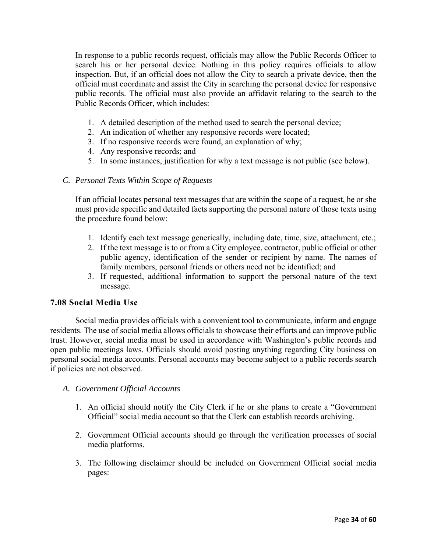In response to a public records request, officials may allow the Public Records Officer to search his or her personal device. Nothing in this policy requires officials to allow inspection. But, if an official does not allow the City to search a private device, then the official must coordinate and assist the City in searching the personal device for responsive public records. The official must also provide an affidavit relating to the search to the Public Records Officer, which includes:

- 1. A detailed description of the method used to search the personal device;
- 2. An indication of whether any responsive records were located;
- 3. If no responsive records were found, an explanation of why;
- 4. Any responsive records; and
- 5. In some instances, justification for why a text message is not public (see below).

#### *C. Personal Texts Within Scope of Requests*

If an official locates personal text messages that are within the scope of a request, he or she must provide specific and detailed facts supporting the personal nature of those texts using the procedure found below:

- 1. Identify each text message generically, including date, time, size, attachment, etc.;
- 2. If the text message is to or from a City employee, contractor, public official or other public agency, identification of the sender or recipient by name. The names of family members, personal friends or others need not be identified; and
- 3. If requested, additional information to support the personal nature of the text message.

#### **7.08 Social Media Use**

Social media provides officials with a convenient tool to communicate, inform and engage residents. The use of social media allows officials to showcase their efforts and can improve public trust. However, social media must be used in accordance with Washington's public records and open public meetings laws. Officials should avoid posting anything regarding City business on personal social media accounts. Personal accounts may become subject to a public records search if policies are not observed.

#### *A. Government Official Accounts*

- 1. An official should notify the City Clerk if he or she plans to create a "Government Official" social media account so that the Clerk can establish records archiving.
- 2. Government Official accounts should go through the verification processes of social media platforms.
- 3. The following disclaimer should be included on Government Official social media pages: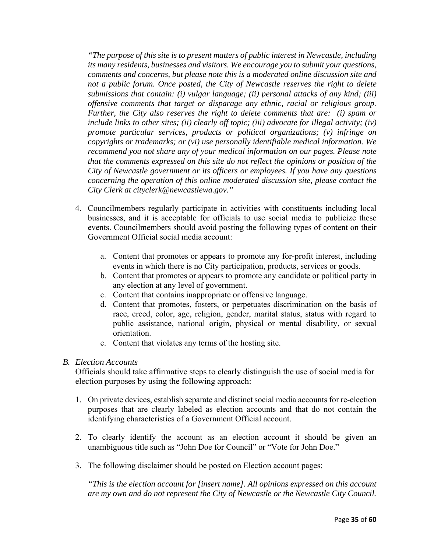*"The purpose of this site is to present matters of public interest in Newcastle, including its many residents, businesses and visitors. We encourage you to submit your questions, comments and concerns, but please note this is a moderated online discussion site and not a public forum. Once posted, the City of Newcastle reserves the right to delete submissions that contain: (i) vulgar language; (ii) personal attacks of any kind; (iii) offensive comments that target or disparage any ethnic, racial or religious group. Further, the City also reserves the right to delete comments that are: (i) spam or include links to other sites; (ii) clearly off topic; (iii) advocate for illegal activity; (iv) promote particular services, products or political organizations; (v) infringe on copyrights or trademarks; or (vi) use personally identifiable medical information. We recommend you not share any of your medical information on our pages. Please note that the comments expressed on this site do not reflect the opinions or position of the City of Newcastle government or its officers or employees. If you have any questions concerning the operation of this online moderated discussion site, please contact the City Clerk at cityclerk@newcastlewa.gov."* 

- 4. Councilmembers regularly participate in activities with constituents including local businesses, and it is acceptable for officials to use social media to publicize these events. Councilmembers should avoid posting the following types of content on their Government Official social media account:
	- a. Content that promotes or appears to promote any for-profit interest, including events in which there is no City participation, products, services or goods.
	- b. Content that promotes or appears to promote any candidate or political party in any election at any level of government.
	- c. Content that contains inappropriate or offensive language.
	- d. Content that promotes, fosters, or perpetuates discrimination on the basis of race, creed, color, age, religion, gender, marital status, status with regard to public assistance, national origin, physical or mental disability, or sexual orientation.
	- e. Content that violates any terms of the hosting site.

#### *B. Election Accounts*

Officials should take affirmative steps to clearly distinguish the use of social media for election purposes by using the following approach:

- 1. On private devices, establish separate and distinct social media accounts for re-election purposes that are clearly labeled as election accounts and that do not contain the identifying characteristics of a Government Official account.
- 2. To clearly identify the account as an election account it should be given an unambiguous title such as "John Doe for Council" or "Vote for John Doe."
- 3. The following disclaimer should be posted on Election account pages:

*"This is the election account for [insert name]. All opinions expressed on this account are my own and do not represent the City of Newcastle or the Newcastle City Council.*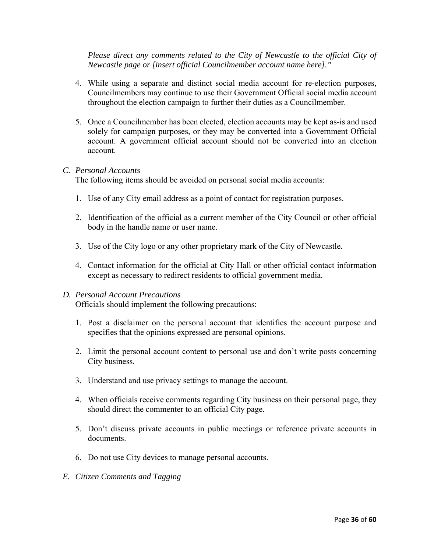*Please direct any comments related to the City of Newcastle to the official City of Newcastle page or [insert official Councilmember account name here]."* 

- 4. While using a separate and distinct social media account for re-election purposes, Councilmembers may continue to use their Government Official social media account throughout the election campaign to further their duties as a Councilmember.
- 5. Once a Councilmember has been elected, election accounts may be kept as-is and used solely for campaign purposes, or they may be converted into a Government Official account. A government official account should not be converted into an election account.

#### *C. Personal Accounts*

The following items should be avoided on personal social media accounts:

- 1. Use of any City email address as a point of contact for registration purposes.
- 2. Identification of the official as a current member of the City Council or other official body in the handle name or user name.
- 3. Use of the City logo or any other proprietary mark of the City of Newcastle.
- 4. Contact information for the official at City Hall or other official contact information except as necessary to redirect residents to official government media.

#### *D. Personal Account Precautions*

Officials should implement the following precautions:

- 1. Post a disclaimer on the personal account that identifies the account purpose and specifies that the opinions expressed are personal opinions.
- 2. Limit the personal account content to personal use and don't write posts concerning City business.
- 3. Understand and use privacy settings to manage the account.
- 4. When officials receive comments regarding City business on their personal page, they should direct the commenter to an official City page.
- 5. Don't discuss private accounts in public meetings or reference private accounts in documents.
- 6. Do not use City devices to manage personal accounts.
- *E. Citizen Comments and Tagging*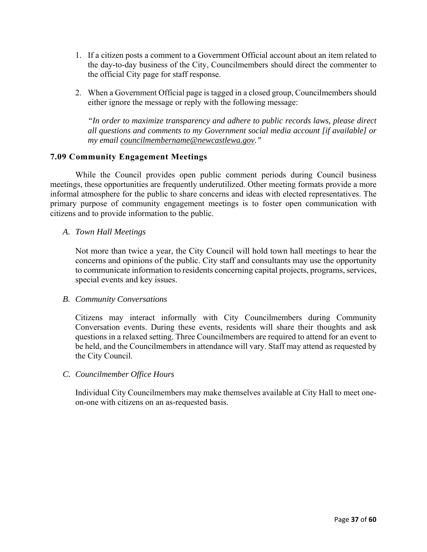- 1. If a citizen posts a comment to a Government Official account about an item related to the day-to-day business of the City, Councilmembers should direct the commenter to the official City page for staff response.
- 2. When a Government Official page is tagged in a closed group, Councilmembers should either ignore the message or reply with the following message:

*"In order to maximize transparency and adhere to public records laws, please direct all questions and comments to my Government social media account [if available] or my email councilmembername@newcastlewa.gov."*

# **7.09 Community Engagement Meetings**

While the Council provides open public comment periods during Council business meetings, these opportunities are frequently underutilized. Other meeting formats provide a more informal atmosphere for the public to share concerns and ideas with elected representatives. The primary purpose of community engagement meetings is to foster open communication with citizens and to provide information to the public.

#### *A. Town Hall Meetings*

Not more than twice a year, the City Council will hold town hall meetings to hear the concerns and opinions of the public. City staff and consultants may use the opportunity to communicate information to residents concerning capital projects, programs, services, special events and key issues.

#### *B. Community Conversations*

Citizens may interact informally with City Councilmembers during Community Conversation events. During these events, residents will share their thoughts and ask questions in a relaxed setting. Three Councilmembers are required to attend for an event to be held, and the Councilmembers in attendance will vary. Staff may attend as requested by the City Council.

#### *C. Councilmember Office Hours*

Individual City Councilmembers may make themselves available at City Hall to meet oneon-one with citizens on an as-requested basis.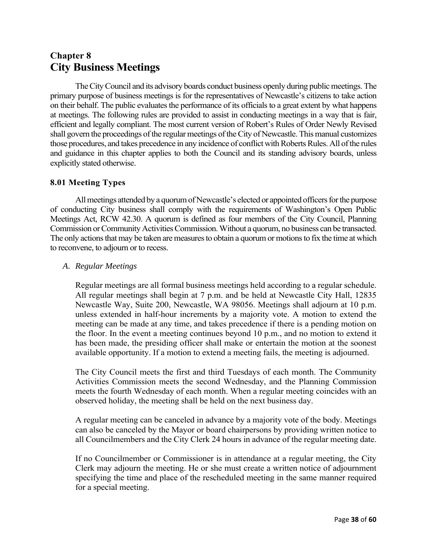# **Chapter 8 City Business Meetings**

The City Council and its advisory boards conduct business openly during public meetings. The primary purpose of business meetings is for the representatives of Newcastle's citizens to take action on their behalf. The public evaluates the performance of its officials to a great extent by what happens at meetings. The following rules are provided to assist in conducting meetings in a way that is fair, efficient and legally compliant. The most current version of Robert's Rules of Order Newly Revised shall govern the proceedings of the regular meetings of the City of Newcastle. This manual customizes those procedures, and takes precedence in any incidence of conflict with Roberts Rules. All of the rules and guidance in this chapter applies to both the Council and its standing advisory boards, unless explicitly stated otherwise.

# **8.01 Meeting Types**

All meetings attended by a quorum of Newcastle's elected or appointed officers for the purpose of conducting City business shall comply with the requirements of Washington's Open Public Meetings Act, RCW 42.30. A quorum is defined as four members of the City Council, Planning Commission or Community Activities Commission. Without a quorum, no business can be transacted. The only actions that may be taken are measures to obtain a quorum or motions to fix the time at which to reconvene, to adjourn or to recess.

# *A. Regular Meetings*

Regular meetings are all formal business meetings held according to a regular schedule. All regular meetings shall begin at 7 p.m. and be held at Newcastle City Hall, 12835 Newcastle Way, Suite 200, Newcastle, WA 98056. Meetings shall adjourn at 10 p.m. unless extended in half-hour increments by a majority vote. A motion to extend the meeting can be made at any time, and takes precedence if there is a pending motion on the floor. In the event a meeting continues beyond 10 p.m., and no motion to extend it has been made, the presiding officer shall make or entertain the motion at the soonest available opportunity. If a motion to extend a meeting fails, the meeting is adjourned.

The City Council meets the first and third Tuesdays of each month. The Community Activities Commission meets the second Wednesday, and the Planning Commission meets the fourth Wednesday of each month. When a regular meeting coincides with an observed holiday, the meeting shall be held on the next business day.

A regular meeting can be canceled in advance by a majority vote of the body. Meetings can also be canceled by the Mayor or board chairpersons by providing written notice to all Councilmembers and the City Clerk 24 hours in advance of the regular meeting date.

If no Councilmember or Commissioner is in attendance at a regular meeting, the City Clerk may adjourn the meeting. He or she must create a written notice of adjournment specifying the time and place of the rescheduled meeting in the same manner required for a special meeting.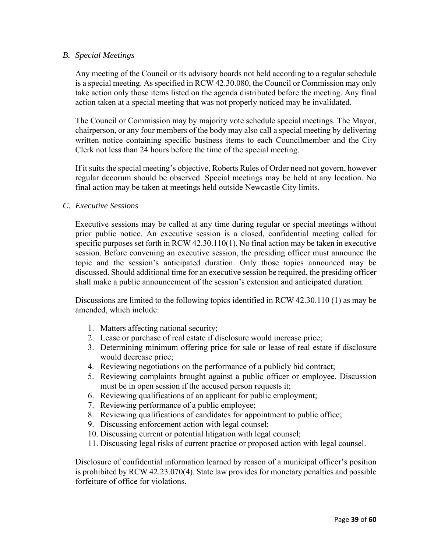#### *B. Special Meetings*

Any meeting of the Council or its advisory boards not held according to a regular schedule is a special meeting. As specified in RCW 42.30.080, the Council or Commission may only take action only those items listed on the agenda distributed before the meeting. Any final action taken at a special meeting that was not properly noticed may be invalidated.

The Council or Commission may by majority vote schedule special meetings. The Mayor, chairperson, or any four members of the body may also call a special meeting by delivering written notice containing specific business items to each Councilmember and the City Clerk not less than 24 hours before the time of the special meeting.

If it suits the special meeting's objective, Roberts Rules of Order need not govern, however regular decorum should be observed. Special meetings may be held at any location. No final action may be taken at meetings held outside Newcastle City limits.

#### *C. Executive Sessions*

Executive sessions may be called at any time during regular or special meetings without prior public notice. An executive session is a closed, confidential meeting called for specific purposes set forth in RCW 42.30.110(1). No final action may be taken in executive session. Before convening an executive session, the presiding officer must announce the topic and the session's anticipated duration. Only those topics announced may be discussed. Should additional time for an executive session be required, the presiding officer shall make a public announcement of the session's extension and anticipated duration.

Discussions are limited to the following topics identified in RCW 42.30.110 (1) as may be amended, which include:

- 1. Matters affecting national security;
- 2. Lease or purchase of real estate if disclosure would increase price;
- 3. Determining minimum offering price for sale or lease of real estate if disclosure would decrease price;
- 4. Reviewing negotiations on the performance of a publicly bid contract;
- 5. Reviewing complaints brought against a public officer or employee. Discussion must be in open session if the accused person requests it;
- 6. Reviewing qualifications of an applicant for public employment;
- 7. Reviewing performance of a public employee;
- 8. Reviewing qualifications of candidates for appointment to public office;
- 9. Discussing enforcement action with legal counsel;
- 10. Discussing current or potential litigation with legal counsel;
- 11. Discussing legal risks of current practice or proposed action with legal counsel.

Disclosure of confidential information learned by reason of a municipal officer's position is prohibited by RCW 42.23.070(4). State law provides for monetary penalties and possible forfeiture of office for violations.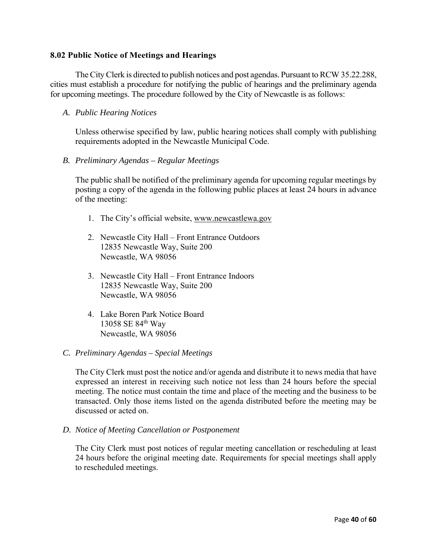#### **8.02 Public Notice of Meetings and Hearings**

The City Clerk is directed to publish notices and post agendas. Pursuant to RCW 35.22.288, cities must establish a procedure for notifying the public of hearings and the preliminary agenda for upcoming meetings. The procedure followed by the City of Newcastle is as follows:

#### *A. Public Hearing Notices*

Unless otherwise specified by law, public hearing notices shall comply with publishing requirements adopted in the Newcastle Municipal Code.

#### *B. Preliminary Agendas – Regular Meetings*

The public shall be notified of the preliminary agenda for upcoming regular meetings by posting a copy of the agenda in the following public places at least 24 hours in advance of the meeting:

- 1. The City's official website, www.newcastlewa.gov
- 2. Newcastle City Hall Front Entrance Outdoors 12835 Newcastle Way, Suite 200 Newcastle, WA 98056
- 3. Newcastle City Hall Front Entrance Indoors 12835 Newcastle Way, Suite 200 Newcastle, WA 98056
- 4. Lake Boren Park Notice Board 13058 SE 84th Way Newcastle, WA 98056

#### *C. Preliminary Agendas – Special Meetings*

The City Clerk must post the notice and/or agenda and distribute it to news media that have expressed an interest in receiving such notice not less than 24 hours before the special meeting. The notice must contain the time and place of the meeting and the business to be transacted. Only those items listed on the agenda distributed before the meeting may be discussed or acted on.

*D. Notice of Meeting Cancellation or Postponement* 

The City Clerk must post notices of regular meeting cancellation or rescheduling at least 24 hours before the original meeting date. Requirements for special meetings shall apply to rescheduled meetings.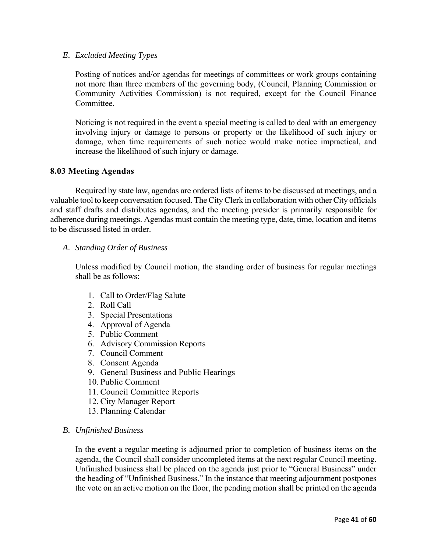#### *E. Excluded Meeting Types*

Posting of notices and/or agendas for meetings of committees or work groups containing not more than three members of the governing body, (Council, Planning Commission or Community Activities Commission) is not required, except for the Council Finance Committee.

Noticing is not required in the event a special meeting is called to deal with an emergency involving injury or damage to persons or property or the likelihood of such injury or damage, when time requirements of such notice would make notice impractical, and increase the likelihood of such injury or damage.

#### **8.03 Meeting Agendas**

Required by state law, agendas are ordered lists of items to be discussed at meetings, and a valuable tool to keep conversation focused. The City Clerk in collaboration with other City officials and staff drafts and distributes agendas, and the meeting presider is primarily responsible for adherence during meetings. Agendas must contain the meeting type, date, time, location and items to be discussed listed in order.

#### *A. Standing Order of Business*

Unless modified by Council motion, the standing order of business for regular meetings shall be as follows:

- 1. Call to Order/Flag Salute
- 2. Roll Call
- 3. Special Presentations
- 4. Approval of Agenda
- 5. Public Comment
- 6. Advisory Commission Reports
- 7. Council Comment
- 8. Consent Agenda
- 9. General Business and Public Hearings
- 10. Public Comment
- 11. Council Committee Reports
- 12. City Manager Report
- 13. Planning Calendar

#### *B. Unfinished Business*

In the event a regular meeting is adjourned prior to completion of business items on the agenda, the Council shall consider uncompleted items at the next regular Council meeting. Unfinished business shall be placed on the agenda just prior to "General Business" under the heading of "Unfinished Business." In the instance that meeting adjournment postpones the vote on an active motion on the floor, the pending motion shall be printed on the agenda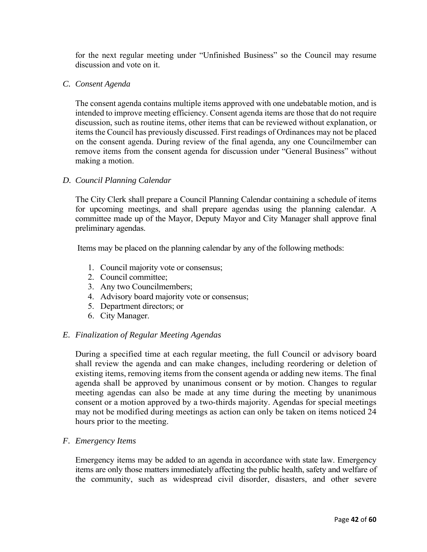for the next regular meeting under "Unfinished Business" so the Council may resume discussion and vote on it.

#### *C. Consent Agenda*

The consent agenda contains multiple items approved with one undebatable motion, and is intended to improve meeting efficiency. Consent agenda items are those that do not require discussion, such as routine items, other items that can be reviewed without explanation, or items the Council has previously discussed. First readings of Ordinances may not be placed on the consent agenda. During review of the final agenda, any one Councilmember can remove items from the consent agenda for discussion under "General Business" without making a motion.

#### *D. Council Planning Calendar*

The City Clerk shall prepare a Council Planning Calendar containing a schedule of items for upcoming meetings, and shall prepare agendas using the planning calendar. A committee made up of the Mayor, Deputy Mayor and City Manager shall approve final preliminary agendas.

Items may be placed on the planning calendar by any of the following methods:

- 1. Council majority vote or consensus;
- 2. Council committee;
- 3. Any two Councilmembers;
- 4. Advisory board majority vote or consensus;
- 5. Department directors; or
- 6. City Manager.

#### *E. Finalization of Regular Meeting Agendas*

During a specified time at each regular meeting, the full Council or advisory board shall review the agenda and can make changes, including reordering or deletion of existing items, removing items from the consent agenda or adding new items. The final agenda shall be approved by unanimous consent or by motion. Changes to regular meeting agendas can also be made at any time during the meeting by unanimous consent or a motion approved by a two-thirds majority. Agendas for special meetings may not be modified during meetings as action can only be taken on items noticed 24 hours prior to the meeting.

#### *F. Emergency Items*

Emergency items may be added to an agenda in accordance with state law. Emergency items are only those matters immediately affecting the public health, safety and welfare of the community, such as widespread civil disorder, disasters, and other severe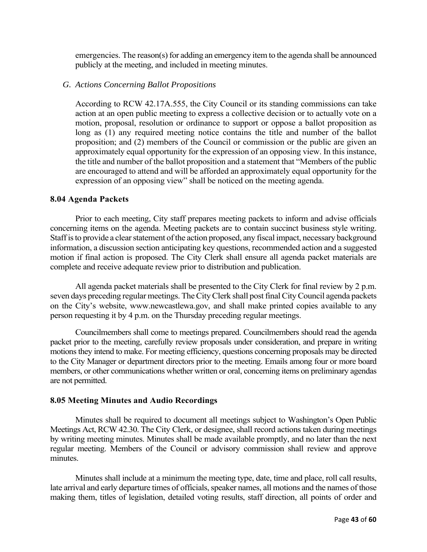emergencies. The reason(s) for adding an emergency item to the agenda shall be announced publicly at the meeting, and included in meeting minutes.

#### *G. Actions Concerning Ballot Propositions*

According to RCW 42.17A.555, the City Council or its standing commissions can take action at an open public meeting to express a collective decision or to actually vote on a motion, proposal, resolution or ordinance to support or oppose a ballot proposition as long as (1) any required meeting notice contains the title and number of the ballot proposition; and (2) members of the Council or commission or the public are given an approximately equal opportunity for the expression of an opposing view. In this instance, the title and number of the ballot proposition and a statement that "Members of the public are encouraged to attend and will be afforded an approximately equal opportunity for the expression of an opposing view" shall be noticed on the meeting agenda.

#### **8.04 Agenda Packets**

Prior to each meeting, City staff prepares meeting packets to inform and advise officials concerning items on the agenda. Meeting packets are to contain succinct business style writing. Staff is to provide a clear statement of the action proposed, any fiscal impact, necessary background information, a discussion section anticipating key questions, recommended action and a suggested motion if final action is proposed. The City Clerk shall ensure all agenda packet materials are complete and receive adequate review prior to distribution and publication.

All agenda packet materials shall be presented to the City Clerk for final review by 2 p.m. seven days preceding regular meetings. The City Clerk shall post final City Council agenda packets on the City's website, www.newcastlewa.gov, and shall make printed copies available to any person requesting it by 4 p.m. on the Thursday preceding regular meetings.

Councilmembers shall come to meetings prepared. Councilmembers should read the agenda packet prior to the meeting, carefully review proposals under consideration, and prepare in writing motions they intend to make. For meeting efficiency, questions concerning proposals may be directed to the City Manager or department directors prior to the meeting. Emails among four or more board members, or other communications whether written or oral, concerning items on preliminary agendas are not permitted.

#### **8.05 Meeting Minutes and Audio Recordings**

Minutes shall be required to document all meetings subject to Washington's Open Public Meetings Act, RCW 42.30. The City Clerk, or designee, shall record actions taken during meetings by writing meeting minutes. Minutes shall be made available promptly, and no later than the next regular meeting. Members of the Council or advisory commission shall review and approve minutes.

Minutes shall include at a minimum the meeting type, date, time and place, roll call results, late arrival and early departure times of officials, speaker names, all motions and the names of those making them, titles of legislation, detailed voting results, staff direction, all points of order and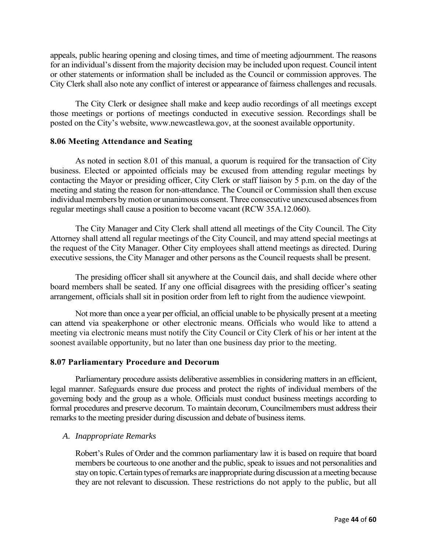appeals, public hearing opening and closing times, and time of meeting adjournment. The reasons for an individual's dissent from the majority decision may be included upon request. Council intent or other statements or information shall be included as the Council or commission approves. The City Clerk shall also note any conflict of interest or appearance of fairness challenges and recusals.

The City Clerk or designee shall make and keep audio recordings of all meetings except those meetings or portions of meetings conducted in executive session. Recordings shall be posted on the City's website, www.newcastlewa.gov, at the soonest available opportunity.

#### **8.06 Meeting Attendance and Seating**

As noted in section 8.01 of this manual, a quorum is required for the transaction of City business. Elected or appointed officials may be excused from attending regular meetings by contacting the Mayor or presiding officer, City Clerk or staff liaison by 5 p.m. on the day of the meeting and stating the reason for non-attendance. The Council or Commission shall then excuse individual members by motion or unanimous consent. Three consecutive unexcused absences from regular meetings shall cause a position to become vacant (RCW 35A.12.060).

The City Manager and City Clerk shall attend all meetings of the City Council. The City Attorney shall attend all regular meetings of the City Council, and may attend special meetings at the request of the City Manager. Other City employees shall attend meetings as directed. During executive sessions, the City Manager and other persons as the Council requests shall be present.

The presiding officer shall sit anywhere at the Council dais, and shall decide where other board members shall be seated. If any one official disagrees with the presiding officer's seating arrangement, officials shall sit in position order from left to right from the audience viewpoint.

Not more than once a year per official, an official unable to be physically present at a meeting can attend via speakerphone or other electronic means. Officials who would like to attend a meeting via electronic means must notify the City Council or City Clerk of his or her intent at the soonest available opportunity, but no later than one business day prior to the meeting.

#### **8.07 Parliamentary Procedure and Decorum**

Parliamentary procedure assists deliberative assemblies in considering matters in an efficient, legal manner. Safeguards ensure due process and protect the rights of individual members of the governing body and the group as a whole. Officials must conduct business meetings according to formal procedures and preserve decorum. To maintain decorum, Councilmembers must address their remarks to the meeting presider during discussion and debate of business items.

#### *A. Inappropriate Remarks*

Robert's Rules of Order and the common parliamentary law it is based on require that board members be courteous to one another and the public, speak to issues and not personalities and stay on topic. Certain types of remarks are inappropriate during discussion at a meeting because they are not relevant to discussion. These restrictions do not apply to the public, but all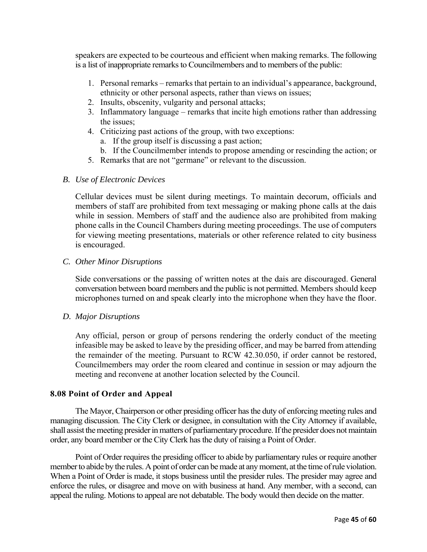speakers are expected to be courteous and efficient when making remarks. The following is a list of inappropriate remarks to Councilmembers and to members of the public:

- 1. Personal remarks remarks that pertain to an individual's appearance, background, ethnicity or other personal aspects, rather than views on issues;
- 2. Insults, obscenity, vulgarity and personal attacks;
- 3. Inflammatory language remarks that incite high emotions rather than addressing the issues;
- 4. Criticizing past actions of the group, with two exceptions:
	- a. If the group itself is discussing a past action;
	- b. If the Councilmember intends to propose amending or rescinding the action; or
- 5. Remarks that are not "germane" or relevant to the discussion.

#### *B. Use of Electronic Devices*

Cellular devices must be silent during meetings. To maintain decorum, officials and members of staff are prohibited from text messaging or making phone calls at the dais while in session. Members of staff and the audience also are prohibited from making phone calls in the Council Chambers during meeting proceedings. The use of computers for viewing meeting presentations, materials or other reference related to city business is encouraged.

#### *C. Other Minor Disruptions*

Side conversations or the passing of written notes at the dais are discouraged. General conversation between board members and the public is not permitted. Members should keep microphones turned on and speak clearly into the microphone when they have the floor.

#### *D. Major Disruptions*

Any official, person or group of persons rendering the orderly conduct of the meeting infeasible may be asked to leave by the presiding officer, and may be barred from attending the remainder of the meeting. Pursuant to RCW 42.30.050, if order cannot be restored, Councilmembers may order the room cleared and continue in session or may adjourn the meeting and reconvene at another location selected by the Council.

#### **8.08 Point of Order and Appeal**

The Mayor, Chairperson or other presiding officer has the duty of enforcing meeting rules and managing discussion. The City Clerk or designee, in consultation with the City Attorney if available, shall assist the meeting presider in matters of parliamentary procedure. If the presider does not maintain order, any board member or the City Clerk has the duty of raising a Point of Order.

Point of Order requires the presiding officer to abide by parliamentary rules or require another member to abide by the rules. A point of order can be made at any moment, at the time of rule violation. When a Point of Order is made, it stops business until the presider rules. The presider may agree and enforce the rules, or disagree and move on with business at hand. Any member, with a second, can appeal the ruling. Motions to appeal are not debatable. The body would then decide on the matter.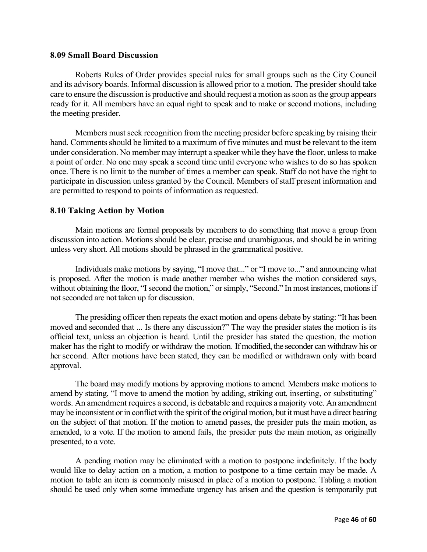#### **8.09 Small Board Discussion**

Roberts Rules of Order provides special rules for small groups such as the City Council and its advisory boards. Informal discussion is allowed prior to a motion. The presider should take care to ensure the discussion is productive and should request a motion as soon as the group appears ready for it. All members have an equal right to speak and to make or second motions, including the meeting presider.

Members must seek recognition from the meeting presider before speaking by raising their hand. Comments should be limited to a maximum of five minutes and must be relevant to the item under consideration. No member may interrupt a speaker while they have the floor, unless to make a point of order. No one may speak a second time until everyone who wishes to do so has spoken once. There is no limit to the number of times a member can speak. Staff do not have the right to participate in discussion unless granted by the Council. Members of staff present information and are permitted to respond to points of information as requested.

#### **8.10 Taking Action by Motion**

Main motions are formal proposals by members to do something that move a group from discussion into action. Motions should be clear, precise and unambiguous, and should be in writing unless very short. All motions should be phrased in the grammatical positive.

Individuals make motions by saying, "I move that..." or "I move to..." and announcing what is proposed. After the motion is made another member who wishes the motion considered says, without obtaining the floor, "I second the motion," or simply, "Second." In most instances, motions if not seconded are not taken up for discussion.

The presiding officer then repeats the exact motion and opens debate by stating: "It has been moved and seconded that ... Is there any discussion?" The way the presider states the motion is its official text, unless an objection is heard. Until the presider has stated the question, the motion maker has the right to modify or withdraw the motion. If modified, the seconder can withdraw his or her second. After motions have been stated, they can be modified or withdrawn only with board approval.

The board may modify motions by approving motions to amend. Members make motions to amend by stating, "I move to amend the motion by adding, striking out, inserting, or substituting" words. An amendment requires a second, is debatable and requires a majority vote. An amendment may be inconsistent or in conflict with the spirit of the original motion, but it must have a direct bearing on the subject of that motion. If the motion to amend passes, the presider puts the main motion, as amended, to a vote. If the motion to amend fails, the presider puts the main motion, as originally presented, to a vote.

A pending motion may be eliminated with a motion to postpone indefinitely. If the body would like to delay action on a motion, a motion to postpone to a time certain may be made. A motion to table an item is commonly misused in place of a motion to postpone. Tabling a motion should be used only when some immediate urgency has arisen and the question is temporarily put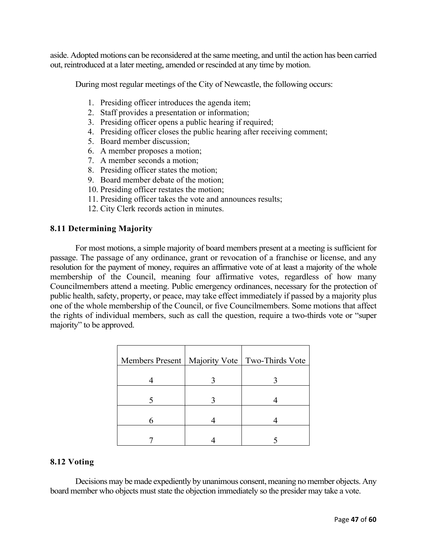aside. Adopted motions can be reconsidered at the same meeting, and until the action has been carried out, reintroduced at a later meeting, amended or rescinded at any time by motion.

During most regular meetings of the City of Newcastle, the following occurs:

- 1. Presiding officer introduces the agenda item;
- 2. Staff provides a presentation or information;
- 3. Presiding officer opens a public hearing if required;
- 4. Presiding officer closes the public hearing after receiving comment;
- 5. Board member discussion;
- 6. A member proposes a motion;
- 7. A member seconds a motion;
- 8. Presiding officer states the motion;
- 9. Board member debate of the motion;
- 10. Presiding officer restates the motion;
- 11. Presiding officer takes the vote and announces results;
- 12. City Clerk records action in minutes.

#### **8.11 Determining Majority**

For most motions, a simple majority of board members present at a meeting is sufficient for passage. The passage of any ordinance, grant or revocation of a franchise or license, and any resolution for the payment of money, requires an affirmative vote of at least a majority of the whole membership of the Council, meaning four affirmative votes, regardless of how many Councilmembers attend a meeting. Public emergency ordinances, necessary for the protection of public health, safety, property, or peace, may take effect immediately if passed by a majority plus one of the whole membership of the Council, or five Councilmembers. Some motions that affect the rights of individual members, such as call the question, require a two-thirds vote or "super majority" to be approved.

|   | Members Present   Majority Vote   Two-Thirds Vote |
|---|---------------------------------------------------|
|   |                                                   |
|   |                                                   |
| 6 |                                                   |
|   |                                                   |

#### **8.12 Voting**

Decisions may be made expediently by unanimous consent, meaning no member objects. Any board member who objects must state the objection immediately so the presider may take a vote.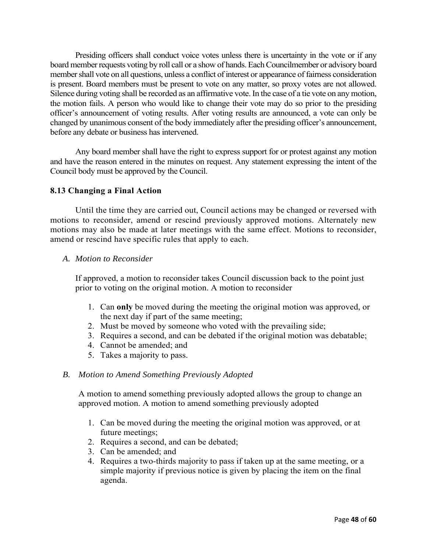Presiding officers shall conduct voice votes unless there is uncertainty in the vote or if any board member requests voting by roll call or a show of hands. Each Councilmember or advisory board member shall vote on all questions, unless a conflict of interest or appearance of fairness consideration is present. Board members must be present to vote on any matter, so proxy votes are not allowed. Silence during voting shall be recorded as an affirmative vote. In the case of a tie vote on any motion, the motion fails. A person who would like to change their vote may do so prior to the presiding officer's announcement of voting results. After voting results are announced, a vote can only be changed by unanimous consent of the body immediately after the presiding officer's announcement, before any debate or business has intervened.

Any board member shall have the right to express support for or protest against any motion and have the reason entered in the minutes on request. Any statement expressing the intent of the Council body must be approved by the Council.

# **8.13 Changing a Final Action**

 Until the time they are carried out, Council actions may be changed or reversed with motions to reconsider, amend or rescind previously approved motions. Alternately new motions may also be made at later meetings with the same effect. Motions to reconsider, amend or rescind have specific rules that apply to each.

*A. Motion to Reconsider*

 If approved, a motion to reconsider takes Council discussion back to the point just prior to voting on the original motion. A motion to reconsider

- 1. Can **only** be moved during the meeting the original motion was approved, or the next day if part of the same meeting;
- 2. Must be moved by someone who voted with the prevailing side;
- 3. Requires a second, and can be debated if the original motion was debatable;
- 4. Cannot be amended; and
- 5. Takes a majority to pass.

#### *B. Motion to Amend Something Previously Adopted*

 A motion to amend something previously adopted allows the group to change an approved motion. A motion to amend something previously adopted

- 1. Can be moved during the meeting the original motion was approved, or at future meetings;
- 2. Requires a second, and can be debated;
- 3. Can be amended; and
- 4. Requires a two-thirds majority to pass if taken up at the same meeting, or a simple majority if previous notice is given by placing the item on the final agenda.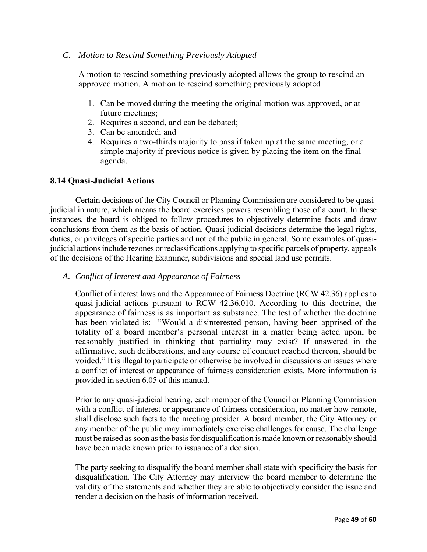#### *C. Motion to Rescind Something Previously Adopted*

 A motion to rescind something previously adopted allows the group to rescind an approved motion. A motion to rescind something previously adopted

- 1. Can be moved during the meeting the original motion was approved, or at future meetings;
- 2. Requires a second, and can be debated;
- 3. Can be amended; and
- 4. Requires a two-thirds majority to pass if taken up at the same meeting, or a simple majority if previous notice is given by placing the item on the final agenda.

#### **8.14 Quasi-Judicial Actions**

Certain decisions of the City Council or Planning Commission are considered to be quasijudicial in nature, which means the board exercises powers resembling those of a court. In these instances, the board is obliged to follow procedures to objectively determine facts and draw conclusions from them as the basis of action. Quasi-judicial decisions determine the legal rights, duties, or privileges of specific parties and not of the public in general. Some examples of quasijudicial actions include rezones or reclassifications applying to specific parcels of property, appeals of the decisions of the Hearing Examiner, subdivisions and special land use permits.

*A. Conflict of Interest and Appearance of Fairness*

Conflict of interest laws and the Appearance of Fairness Doctrine (RCW 42.36) applies to quasi-judicial actions pursuant to RCW 42.36.010. According to this doctrine, the appearance of fairness is as important as substance. The test of whether the doctrine has been violated is: "Would a disinterested person, having been apprised of the totality of a board member's personal interest in a matter being acted upon, be reasonably justified in thinking that partiality may exist? If answered in the affirmative, such deliberations, and any course of conduct reached thereon, should be voided." It is illegal to participate or otherwise be involved in discussions on issues where a conflict of interest or appearance of fairness consideration exists. More information is provided in section 6.05 of this manual.

Prior to any quasi-judicial hearing, each member of the Council or Planning Commission with a conflict of interest or appearance of fairness consideration, no matter how remote, shall disclose such facts to the meeting presider. A board member, the City Attorney or any member of the public may immediately exercise challenges for cause. The challenge must be raised as soon as the basis for disqualification is made known or reasonably should have been made known prior to issuance of a decision.

The party seeking to disqualify the board member shall state with specificity the basis for disqualification. The City Attorney may interview the board member to determine the validity of the statements and whether they are able to objectively consider the issue and render a decision on the basis of information received.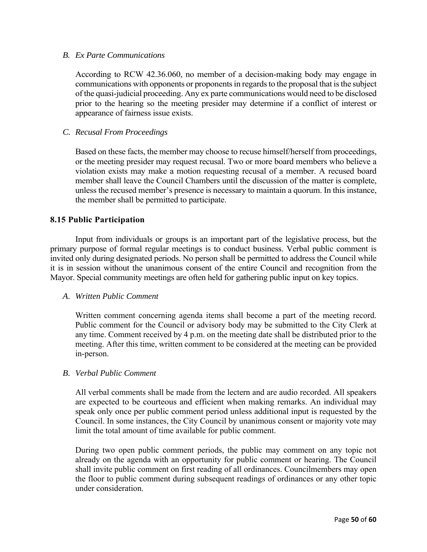#### *B. Ex Parte Communications*

According to RCW 42.36.060, no member of a decision-making body may engage in communications with opponents or proponents in regards to the proposal that is the subject of the quasi-judicial proceeding. Any ex parte communications would need to be disclosed prior to the hearing so the meeting presider may determine if a conflict of interest or appearance of fairness issue exists.

#### *C. Recusal From Proceedings*

Based on these facts, the member may choose to recuse himself/herself from proceedings, or the meeting presider may request recusal. Two or more board members who believe a violation exists may make a motion requesting recusal of a member. A recused board member shall leave the Council Chambers until the discussion of the matter is complete, unless the recused member's presence is necessary to maintain a quorum. In this instance, the member shall be permitted to participate.

#### **8.15 Public Participation**

Input from individuals or groups is an important part of the legislative process, but the primary purpose of formal regular meetings is to conduct business. Verbal public comment is invited only during designated periods. No person shall be permitted to address the Council while it is in session without the unanimous consent of the entire Council and recognition from the Mayor. Special community meetings are often held for gathering public input on key topics.

#### *A. Written Public Comment*

Written comment concerning agenda items shall become a part of the meeting record. Public comment for the Council or advisory body may be submitted to the City Clerk at any time. Comment received by 4 p.m. on the meeting date shall be distributed prior to the meeting. After this time, written comment to be considered at the meeting can be provided in-person.

#### *B. Verbal Public Comment*

All verbal comments shall be made from the lectern and are audio recorded. All speakers are expected to be courteous and efficient when making remarks. An individual may speak only once per public comment period unless additional input is requested by the Council. In some instances, the City Council by unanimous consent or majority vote may limit the total amount of time available for public comment.

During two open public comment periods, the public may comment on any topic not already on the agenda with an opportunity for public comment or hearing. The Council shall invite public comment on first reading of all ordinances. Councilmembers may open the floor to public comment during subsequent readings of ordinances or any other topic under consideration.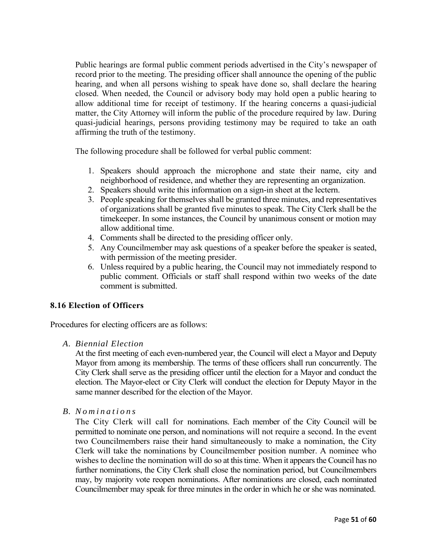Public hearings are formal public comment periods advertised in the City's newspaper of record prior to the meeting. The presiding officer shall announce the opening of the public hearing, and when all persons wishing to speak have done so, shall declare the hearing closed. When needed, the Council or advisory body may hold open a public hearing to allow additional time for receipt of testimony. If the hearing concerns a quasi-judicial matter, the City Attorney will inform the public of the procedure required by law. During quasi-judicial hearings, persons providing testimony may be required to take an oath affirming the truth of the testimony.

The following procedure shall be followed for verbal public comment:

- 1. Speakers should approach the microphone and state their name, city and neighborhood of residence, and whether they are representing an organization.
- 2. Speakers should write this information on a sign-in sheet at the lectern.
- 3. People speaking for themselves shall be granted three minutes, and representatives of organizations shall be granted five minutes to speak. The City Clerk shall be the timekeeper. In some instances, the Council by unanimous consent or motion may allow additional time.
- 4. Comments shall be directed to the presiding officer only.
- 5. Any Councilmember may ask questions of a speaker before the speaker is seated, with permission of the meeting presider.
- 6. Unless required by a public hearing, the Council may not immediately respond to public comment. Officials or staff shall respond within two weeks of the date comment is submitted.

# **8.16 Election of Officers**

Procedures for electing officers are as follows:

#### *A. Biennial Election*

At the first meeting of each even-numbered year, the Council will elect a Mayor and Deputy Mayor from among its membership. The terms of these officers shall run concurrently. The City Clerk shall serve as the presiding officer until the election for a Mayor and conduct the election. The Mayor-elect or City Clerk will conduct the election for Deputy Mayor in the same manner described for the election of the Mayor.

# *B. Nominations*

The City Clerk will call for nominations. Each member of the City Council will be permitted to nominate one person, and nominations will not require a second. In the event two Councilmembers raise their hand simultaneously to make a nomination, the City Clerk will take the nominations by Councilmember position number. A nominee who wishes to decline the nomination will do so at this time. When it appears the Council has no further nominations, the City Clerk shall close the nomination period, but Councilmembers may, by majority vote reopen nominations. After nominations are closed, each nominated Councilmember may speak for three minutes in the order in which he or she was nominated.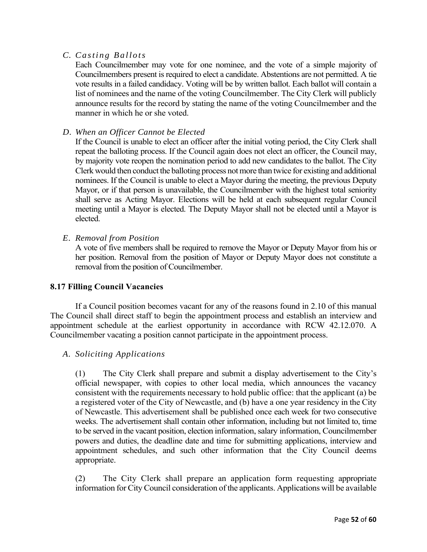# *C. Casting Ballots*

Each Councilmember may vote for one nominee, and the vote of a simple majority of Councilmembers present is required to elect a candidate. Abstentions are not permitted. A tie vote results in a failed candidacy. Voting will be by written ballot. Each ballot will contain a list of nominees and the name of the voting Councilmember. The City Clerk will publicly announce results for the record by stating the name of the voting Councilmember and the manner in which he or she voted.

### *D. When an Officer Cannot be Elected*

If the Council is unable to elect an officer after the initial voting period, the City Clerk shall repeat the balloting process. If the Council again does not elect an officer, the Council may, by majority vote reopen the nomination period to add new candidates to the ballot. The City Clerk would then conduct the balloting process not more than twice for existing and additional nominees. If the Council is unable to elect a Mayor during the meeting, the previous Deputy Mayor, or if that person is unavailable, the Councilmember with the highest total seniority shall serve as Acting Mayor. Elections will be held at each subsequent regular Council meeting until a Mayor is elected. The Deputy Mayor shall not be elected until a Mayor is elected.

# *E. Removal from Position*

A vote of five members shall be required to remove the Mayor or Deputy Mayor from his or her position. Removal from the position of Mayor or Deputy Mayor does not constitute a removal from the position of Councilmember.

#### **8.17 Filling Council Vacancies**

If a Council position becomes vacant for any of the reasons found in 2.10 of this manual The Council shall direct staff to begin the appointment process and establish an interview and appointment schedule at the earliest opportunity in accordance with RCW 42.12.070. A Councilmember vacating a position cannot participate in the appointment process.

# *A. Soliciting Applications*

(1) The City Clerk shall prepare and submit a display advertisement to the City's official newspaper, with copies to other local media, which announces the vacancy consistent with the requirements necessary to hold public office: that the applicant (a) be a registered voter of the City of Newcastle, and (b) have a one year residency in the City of Newcastle. This advertisement shall be published once each week for two consecutive weeks. The advertisement shall contain other information, including but not limited to, time to be served in the vacant position, election information, salary information, Councilmember powers and duties, the deadline date and time for submitting applications, interview and appointment schedules, and such other information that the City Council deems appropriate.

(2) The City Clerk shall prepare an application form requesting appropriate information for City Council consideration of the applicants. Applications will be available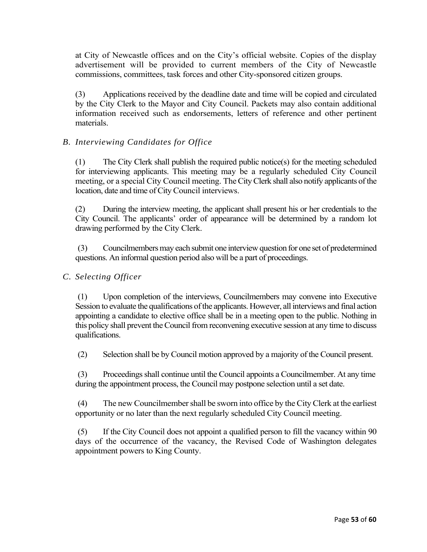at City of Newcastle offices and on the City's official website. Copies of the display advertisement will be provided to current members of the City of Newcastle commissions, committees, task forces and other City-sponsored citizen groups.

(3) Applications received by the deadline date and time will be copied and circulated by the City Clerk to the Mayor and City Council. Packets may also contain additional information received such as endorsements, letters of reference and other pertinent materials.

# *B. Interviewing Candidates for Office*

(1) The City Clerk shall publish the required public notice(s) for the meeting scheduled for interviewing applicants. This meeting may be a regularly scheduled City Council meeting, or a special City Council meeting. The City Clerk shall also notify applicants of the location, date and time of City Council interviews.

(2) During the interview meeting, the applicant shall present his or her credentials to the City Council. The applicants' order of appearance will be determined by a random lot drawing performed by the City Clerk.

(3) Councilmembers may each submit one interview question for one set of predetermined questions. An informal question period also will be a part of proceedings.

# *C. Selecting Officer*

(1) Upon completion of the interviews, Councilmembers may convene into Executive Session to evaluate the qualifications of the applicants. However, all interviews and final action appointing a candidate to elective office shall be in a meeting open to the public. Nothing in this policy shall prevent the Council from reconvening executive session at any time to discuss qualifications.

(2) Selection shall be by Council motion approved by a majority of the Council present.

(3) Proceedings shall continue until the Council appoints a Councilmember. At any time during the appointment process, the Council may postpone selection until a set date.

(4) The new Councilmember shall be sworn into office by the City Clerk at the earliest opportunity or no later than the next regularly scheduled City Council meeting.

(5) If the City Council does not appoint a qualified person to fill the vacancy within 90 days of the occurrence of the vacancy, the Revised Code of Washington delegates appointment powers to King County.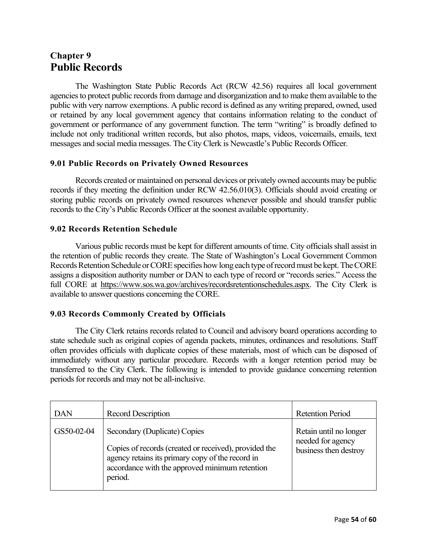# **Chapter 9 Public Records**

The Washington State Public Records Act (RCW 42.56) requires all local government agencies to protect public records from damage and disorganization and to make them available to the public with very narrow exemptions. A public record is defined as any writing prepared, owned, used or retained by any local government agency that contains information relating to the conduct of government or performance of any government function. The term "writing" is broadly defined to include not only traditional written records, but also photos, maps, videos, voicemails, emails, text messages and social media messages. The City Clerk is Newcastle's Public Records Officer.

# **9.01 Public Records on Privately Owned Resources**

Records created or maintained on personal devices or privately owned accounts may be public records if they meeting the definition under RCW 42.56.010(3). Officials should avoid creating or storing public records on privately owned resources whenever possible and should transfer public records to the City's Public Records Officer at the soonest available opportunity.

# **9.02 Records Retention Schedule**

Various public records must be kept for different amounts of time. City officials shall assist in the retention of public records they create. The State of Washington's Local Government Common Records Retention Schedule or CORE specifies how long each type of record must be kept. The CORE assigns a disposition authority number or DAN to each type of record or "records series." Access the full CORE at https://www.sos.wa.gov/archives/recordsretentionschedules.aspx. The City Clerk is available to answer questions concerning the CORE.

# **9.03 Records Commonly Created by Officials**

The City Clerk retains records related to Council and advisory board operations according to state schedule such as original copies of agenda packets, minutes, ordinances and resolutions. Staff often provides officials with duplicate copies of these materials, most of which can be disposed of immediately without any particular procedure. Records with a longer retention period may be transferred to the City Clerk. The following is intended to provide guidance concerning retention periods for records and may not be all-inclusive.

| <b>DAN</b> | <b>Record Description</b>                                                                                                                                                                              | <b>Retention Period</b>                                              |
|------------|--------------------------------------------------------------------------------------------------------------------------------------------------------------------------------------------------------|----------------------------------------------------------------------|
| GS50-02-04 | Secondary (Duplicate) Copies<br>Copies of records (created or received), provided the<br>agency retains its primary copy of the record in<br>accordance with the approved minimum retention<br>period. | Retain until no longer<br>needed for agency<br>business then destroy |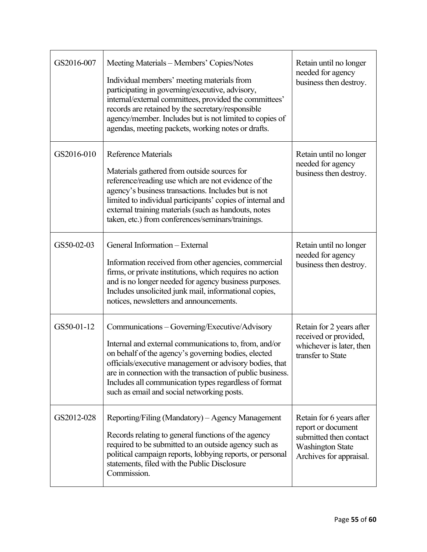| GS2016-007 | Meeting Materials – Members' Copies/Notes<br>Individual members' meeting materials from<br>participating in governing/executive, advisory,<br>internal/external committees, provided the committees'<br>records are retained by the secretary/responsible<br>agency/member. Includes but is not limited to copies of<br>agendas, meeting packets, working notes or drafts.                    | Retain until no longer<br>needed for agency<br>business then destroy.                                                          |
|------------|-----------------------------------------------------------------------------------------------------------------------------------------------------------------------------------------------------------------------------------------------------------------------------------------------------------------------------------------------------------------------------------------------|--------------------------------------------------------------------------------------------------------------------------------|
| GS2016-010 | <b>Reference Materials</b><br>Materials gathered from outside sources for<br>reference/reading use which are not evidence of the<br>agency's business transactions. Includes but is not<br>limited to individual participants' copies of internal and<br>external training materials (such as handouts, notes<br>taken, etc.) from conferences/seminars/trainings.                            | Retain until no longer<br>needed for agency<br>business then destroy.                                                          |
| GS50-02-03 | General Information - External<br>Information received from other agencies, commercial<br>firms, or private institutions, which requires no action<br>and is no longer needed for agency business purposes.<br>Includes unsolicited junk mail, informational copies,<br>notices, newsletters and announcements.                                                                               | Retain until no longer<br>needed for agency<br>business then destroy.                                                          |
| GS50-01-12 | Communications - Governing/Executive/Advisory<br>Internal and external communications to, from, and/or<br>on behalf of the agency's governing bodies, elected<br>officials/executive management or advisory bodies, that<br>are in connection with the transaction of public business.<br>Includes all communication types regardless of format<br>such as email and social networking posts. | Retain for 2 years after<br>received or provided,<br>whichever is later, then<br>transfer to State                             |
| GS2012-028 | Reporting/Filing (Mandatory) – Agency Management<br>Records relating to general functions of the agency<br>required to be submitted to an outside agency such as<br>political campaign reports, lobbying reports, or personal<br>statements, filed with the Public Disclosure<br>Commission.                                                                                                  | Retain for 6 years after<br>report or document<br>submitted then contact<br><b>Washington State</b><br>Archives for appraisal. |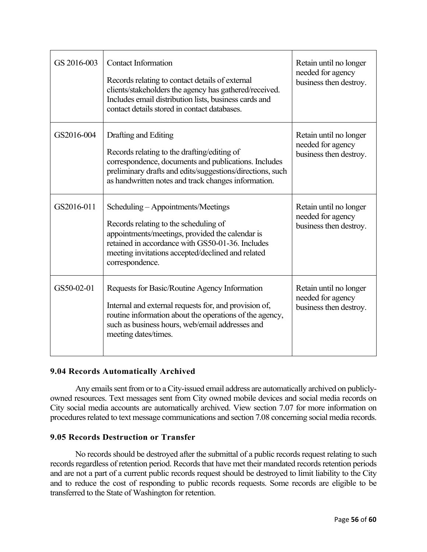| GS 2016-003 | <b>Contact Information</b><br>Records relating to contact details of external<br>clients/stakeholders the agency has gathered/received.<br>Includes email distribution lists, business cards and<br>contact details stored in contact databases.           | Retain until no longer<br>needed for agency<br>business then destroy. |
|-------------|------------------------------------------------------------------------------------------------------------------------------------------------------------------------------------------------------------------------------------------------------------|-----------------------------------------------------------------------|
| GS2016-004  | Drafting and Editing<br>Records relating to the drafting/editing of<br>correspondence, documents and publications. Includes<br>preliminary drafts and edits/suggestions/directions, such<br>as handwritten notes and track changes information.            | Retain until no longer<br>needed for agency<br>business then destroy. |
| GS2016-011  | Scheduling - Appointments/Meetings<br>Records relating to the scheduling of<br>appointments/meetings, provided the calendar is<br>retained in accordance with GS50-01-36. Includes<br>meeting invitations accepted/declined and related<br>correspondence. | Retain until no longer<br>needed for agency<br>business then destroy. |
| GS50-02-01  | Requests for Basic/Routine Agency Information<br>Internal and external requests for, and provision of,<br>routine information about the operations of the agency,<br>such as business hours, web/email addresses and<br>meeting dates/times.               | Retain until no longer<br>needed for agency<br>business then destroy. |

# **9.04 Records Automatically Archived**

Any emails sent from or to a City-issued email address are automatically archived on publiclyowned resources. Text messages sent from City owned mobile devices and social media records on City social media accounts are automatically archived. View section 7.07 for more information on procedures related to text message communications and section 7.08 concerning social media records.

# **9.05 Records Destruction or Transfer**

No records should be destroyed after the submittal of a public records request relating to such records regardless of retention period. Records that have met their mandated records retention periods and are not a part of a current public records request should be destroyed to limit liability to the City and to reduce the cost of responding to public records requests. Some records are eligible to be transferred to the State of Washington for retention.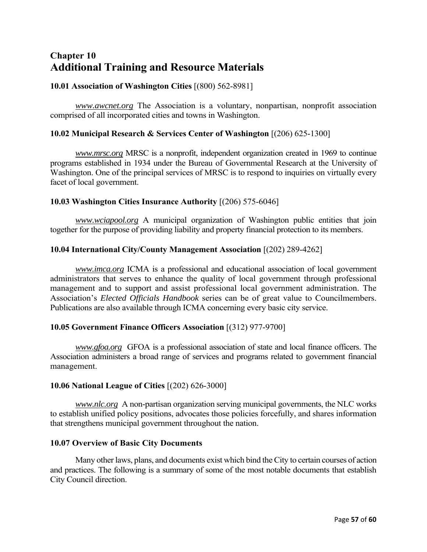# **Chapter 10 Additional Training and Resource Materials**

# **10.01 Association of Washington Cities** [(800) 562-8981]

*www.awcnet.org* The Association is a voluntary, nonpartisan, nonprofit association comprised of all incorporated cities and towns in Washington.

# **10.02 Municipal Research & Services Center of Washington** [(206) 625-1300]

*www.mrsc.org* MRSC is a nonprofit, independent organization created in 1969 to continue programs established in 1934 under the Bureau of Governmental Research at the University of Washington. One of the principal services of MRSC is to respond to inquiries on virtually every facet of local government.

#### **10.03 Washington Cities Insurance Authority** [(206) 575-6046]

*www.wciapool.org* A municipal organization of Washington public entities that join together for the purpose of providing liability and property financial protection to its members.

# **10.04 International City/County Management Association** [(202) 289-4262]

*www.imca.org* ICMA is a professional and educational association of local government administrators that serves to enhance the quality of local government through professional management and to support and assist professional local government administration. The Association's *Elected Officials Handbook* series can be of great value to Councilmembers. Publications are also available through ICMA concerning every basic city service.

#### **10.05 Government Finance Officers Association** [(312) 977-9700]

*www.gfoa.org* GFOA is a professional association of state and local finance officers. The Association administers a broad range of services and programs related to government financial management.

#### **10.06 National League of Cities** [(202) 626-3000]

*www.nlc.org* A non-partisan organization serving municipal governments, the NLC works to establish unified policy positions, advocates those policies forcefully, and shares information that strengthens municipal government throughout the nation.

#### **10.07 Overview of Basic City Documents**

Many other laws, plans, and documents exist which bind the City to certain courses of action and practices. The following is a summary of some of the most notable documents that establish City Council direction.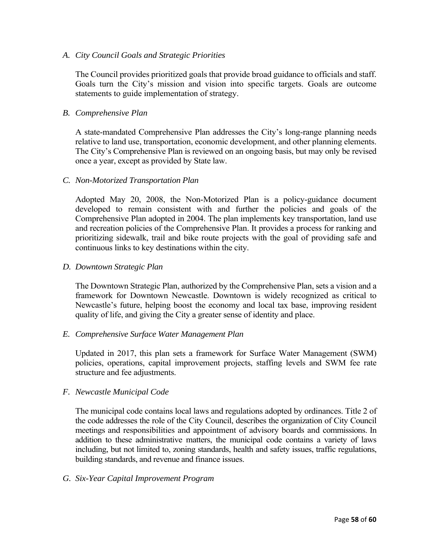#### *A. City Council Goals and Strategic Priorities*

The Council provides prioritized goals that provide broad guidance to officials and staff. Goals turn the City's mission and vision into specific targets. Goals are outcome statements to guide implementation of strategy.

#### *B. Comprehensive Plan*

A state-mandated Comprehensive Plan addresses the City's long-range planning needs relative to land use, transportation, economic development, and other planning elements. The City's Comprehensive Plan is reviewed on an ongoing basis, but may only be revised once a year, except as provided by State law.

#### *C. Non-Motorized Transportation Plan*

Adopted May 20, 2008, the Non-Motorized Plan is a policy-guidance document developed to remain consistent with and further the policies and goals of the Comprehensive Plan adopted in 2004. The plan implements key transportation, land use and recreation policies of the Comprehensive Plan. It provides a process for ranking and prioritizing sidewalk, trail and bike route projects with the goal of providing safe and continuous links to key destinations within the city.

#### *D. Downtown Strategic Plan*

The Downtown Strategic Plan, authorized by the Comprehensive Plan, sets a vision and a framework for Downtown Newcastle. Downtown is widely recognized as critical to Newcastle's future, helping boost the economy and local tax base, improving resident quality of life, and giving the City a greater sense of identity and place.

#### *E. Comprehensive Surface Water Management Plan*

Updated in 2017, this plan sets a framework for Surface Water Management (SWM) policies, operations, capital improvement projects, staffing levels and SWM fee rate structure and fee adjustments.

#### *F. Newcastle Municipal Code*

The municipal code contains local laws and regulations adopted by ordinances. Title 2 of the code addresses the role of the City Council, describes the organization of City Council meetings and responsibilities and appointment of advisory boards and commissions. In addition to these administrative matters, the municipal code contains a variety of laws including, but not limited to, zoning standards, health and safety issues, traffic regulations, building standards, and revenue and finance issues.

#### *G. Six-Year Capital Improvement Program*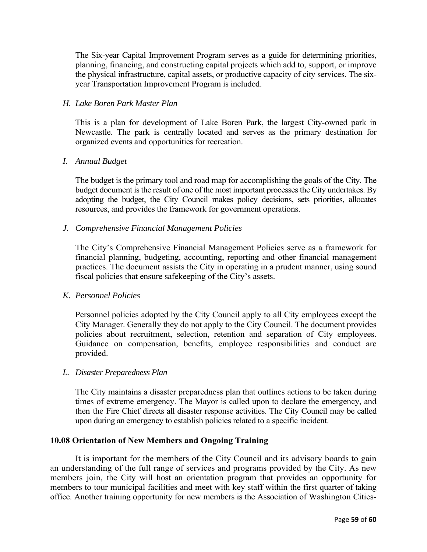The Six-year Capital Improvement Program serves as a guide for determining priorities, planning, financing, and constructing capital projects which add to, support, or improve the physical infrastructure, capital assets, or productive capacity of city services. The sixyear Transportation Improvement Program is included.

# *H. Lake Boren Park Master Plan*

This is a plan for development of Lake Boren Park, the largest City-owned park in Newcastle. The park is centrally located and serves as the primary destination for organized events and opportunities for recreation.

# *I. Annual Budget*

The budget is the primary tool and road map for accomplishing the goals of the City. The budget document is the result of one of the most important processes the City undertakes. By adopting the budget, the City Council makes policy decisions, sets priorities, allocates resources, and provides the framework for government operations.

# *J. Comprehensive Financial Management Policies*

The City's Comprehensive Financial Management Policies serve as a framework for financial planning, budgeting, accounting, reporting and other financial management practices. The document assists the City in operating in a prudent manner, using sound fiscal policies that ensure safekeeping of the City's assets.

#### *K. Personnel Policies*

Personnel policies adopted by the City Council apply to all City employees except the City Manager. Generally they do not apply to the City Council. The document provides policies about recruitment, selection, retention and separation of City employees. Guidance on compensation, benefits, employee responsibilities and conduct are provided.

#### *L. Disaster Preparedness Plan*

The City maintains a disaster preparedness plan that outlines actions to be taken during times of extreme emergency. The Mayor is called upon to declare the emergency, and then the Fire Chief directs all disaster response activities. The City Council may be called upon during an emergency to establish policies related to a specific incident.

#### **10.08 Orientation of New Members and Ongoing Training**

It is important for the members of the City Council and its advisory boards to gain an understanding of the full range of services and programs provided by the City. As new members join, the City will host an orientation program that provides an opportunity for members to tour municipal facilities and meet with key staff within the first quarter of taking office. Another training opportunity for new members is the Association of Washington Cities-